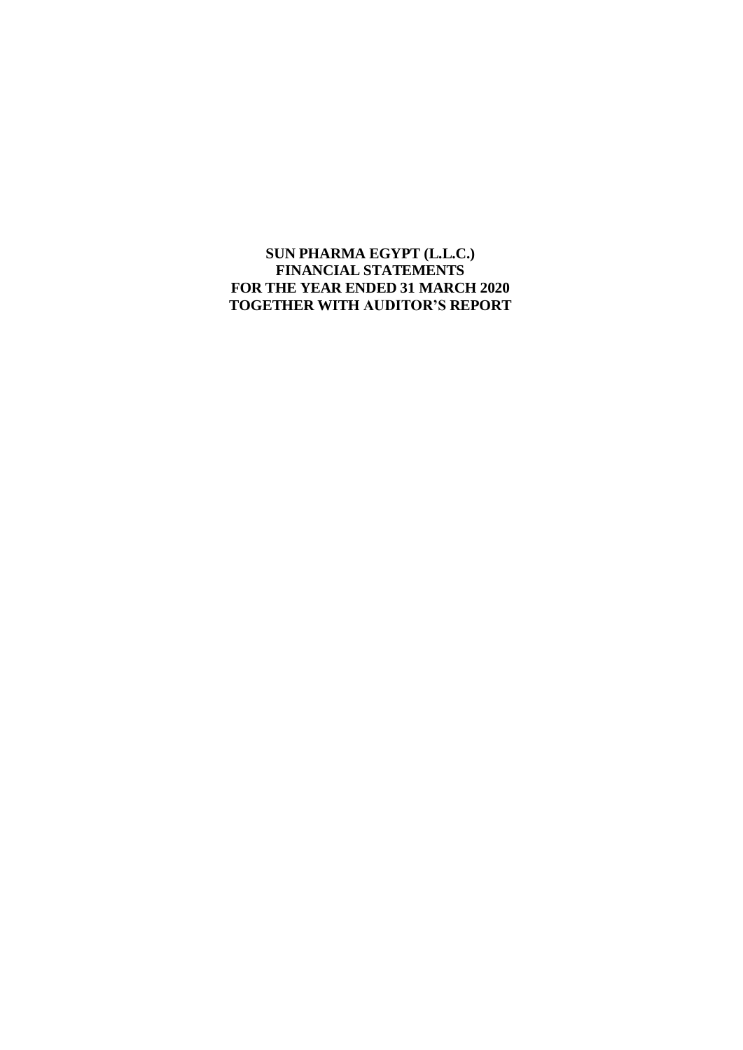**SUN PHARMA EGYPT (L.L.C.) FINANCIAL STATEMENTS FOR THE YEAR ENDED 31 MARCH 2020 TOGETHER WITH AUDITOR'S REPORT**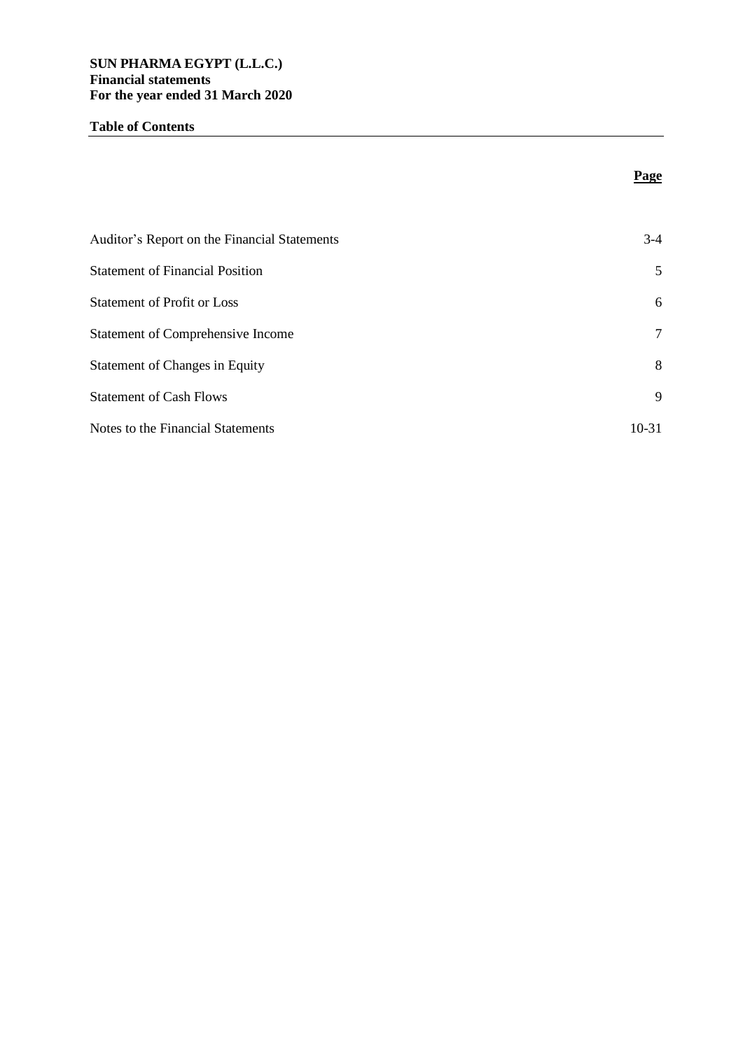### **Table of Contents**

| Auditor's Report on the Financial Statements | $3-4$     |
|----------------------------------------------|-----------|
| <b>Statement of Financial Position</b>       | 5         |
| <b>Statement of Profit or Loss</b>           | 6         |
| <b>Statement of Comprehensive Income</b>     | 7         |
| <b>Statement of Changes in Equity</b>        | 8         |
| <b>Statement of Cash Flows</b>               | 9         |
| Notes to the Financial Statements            | $10 - 31$ |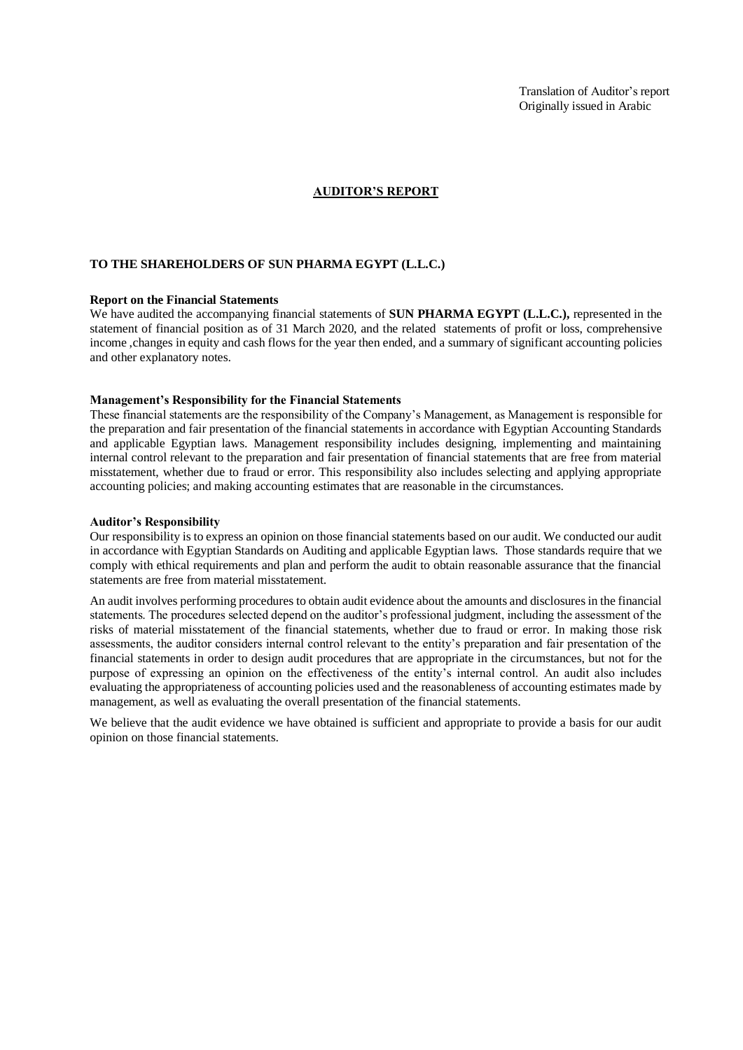Translation of Auditor's report Originally issued in Arabic

#### **AUDITOR'S REPORT**

#### **TO THE SHAREHOLDERS OF SUN PHARMA EGYPT (L.L.C.)**

#### **Report on the Financial Statements**

We have audited the accompanying financial statements of **SUN PHARMA EGYPT (L.L.C.)**, represented in the statement of financial position as of 31 March 2020, and the related statements of profit or loss, comprehensive income ,changes in equity and cash flows for the year then ended, and a summary of significant accounting policies and other explanatory notes.

#### **Management's Responsibility for the Financial Statements**

These financial statements are the responsibility of the Company's Management, as Management is responsible for the preparation and fair presentation of the financial statements in accordance with Egyptian Accounting Standards and applicable Egyptian laws. Management responsibility includes designing, implementing and maintaining internal control relevant to the preparation and fair presentation of financial statements that are free from material misstatement, whether due to fraud or error. This responsibility also includes selecting and applying appropriate accounting policies; and making accounting estimates that are reasonable in the circumstances.

#### **Auditor's Responsibility**

Our responsibility is to express an opinion on those financial statements based on our audit. We conducted our audit in accordance with Egyptian Standards on Auditing and applicable Egyptian laws. Those standards require that we comply with ethical requirements and plan and perform the audit to obtain reasonable assurance that the financial statements are free from material misstatement.

An audit involves performing procedures to obtain audit evidence about the amounts and disclosures in the financial statements. The procedures selected depend on the auditor's professional judgment, including the assessment of the risks of material misstatement of the financial statements, whether due to fraud or error. In making those risk assessments, the auditor considers internal control relevant to the entity's preparation and fair presentation of the financial statements in order to design audit procedures that are appropriate in the circumstances, but not for the purpose of expressing an opinion on the effectiveness of the entity's internal control. An audit also includes evaluating the appropriateness of accounting policies used and the reasonableness of accounting estimates made by management, as well as evaluating the overall presentation of the financial statements.

We believe that the audit evidence we have obtained is sufficient and appropriate to provide a basis for our audit opinion on those financial statements.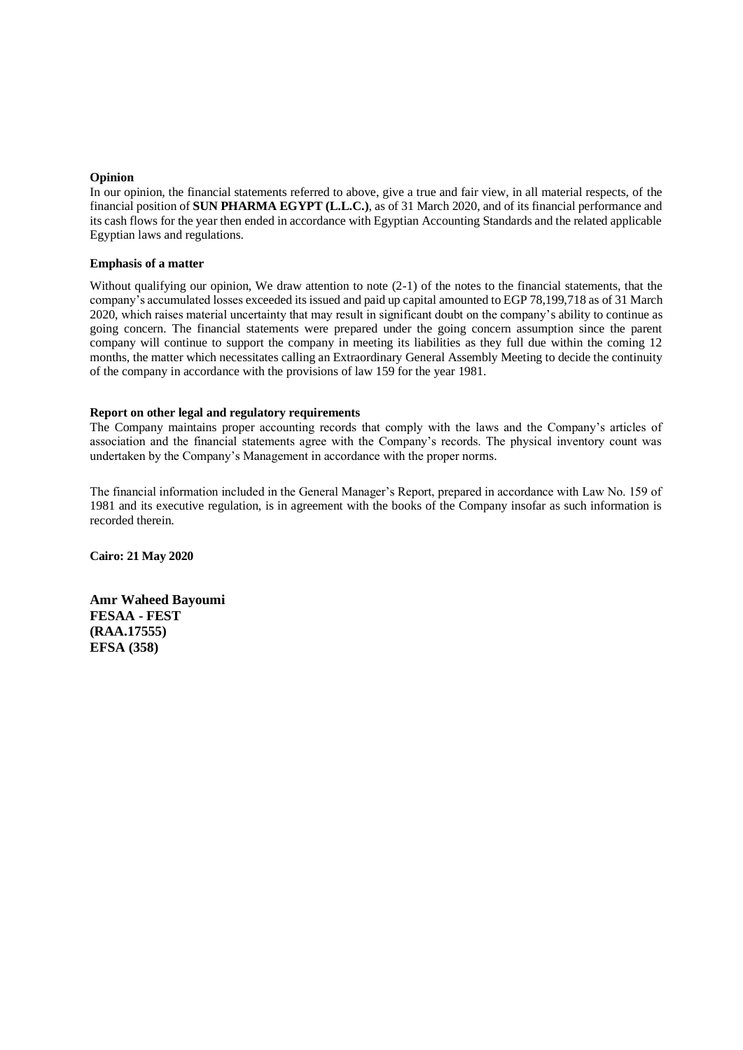#### **Opinion**

In our opinion, the financial statements referred to above, give a true and fair view, in all material respects, of the financial position of **SUN PHARMA EGYPT (L.L.C.)**, as of 31 March 2020, and of its financial performance and its cash flows for the year then ended in accordance with Egyptian Accounting Standards and the related applicable Egyptian laws and regulations.

#### **Emphasis of a matter**

Without qualifying our opinion, We draw attention to note (2-1) of the notes to the financial statements, that the company's accumulated losses exceeded its issued and paid up capital amounted to EGP 78,199,718 as of 31 March 2020, which raises material uncertainty that may result in significant doubt on the company's ability to continue as going concern*.* The financial statements were prepared under the going concern assumption since the parent company will continue to support the company in meeting its liabilities as they full due within the coming 12 months, the matter which necessitates calling an Extraordinary General Assembly Meeting to decide the continuity of the company in accordance with the provisions of law 159 for the year 1981.

#### **Report on other legal and regulatory requirements**

The Company maintains proper accounting records that comply with the laws and the Company's articles of association and the financial statements agree with the Company's records. The physical inventory count was undertaken by the Company's Management in accordance with the proper norms.

The financial information included in the General Manager's Report, prepared in accordance with Law No. 159 of 1981 and its executive regulation, is in agreement with the books of the Company insofar as such information is recorded therein.

**Cairo: 21 May 2020**

**Amr Waheed Bayoumi FESAA - FEST (RAA.17555) EFSA (358)**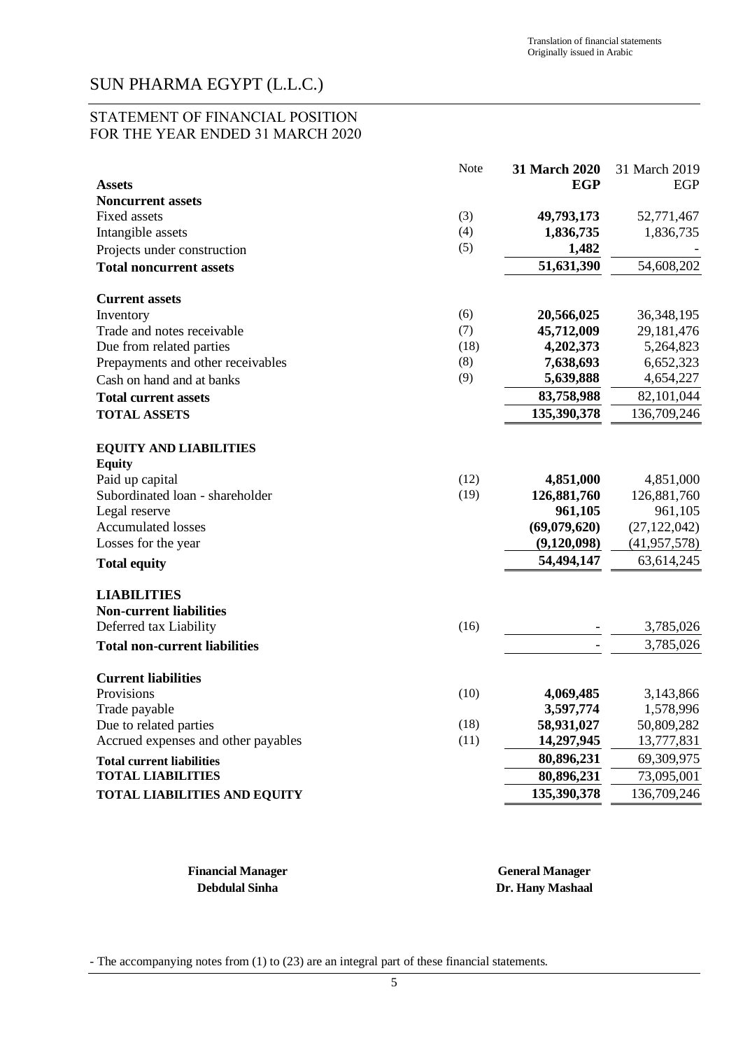#### STATEMENT OF FINANCIAL POSITION FOR THE YEAR ENDED 31 MARCH 2020

|                                                      | Note | 31 March 2020 | 31 March 2019  |
|------------------------------------------------------|------|---------------|----------------|
| <b>Assets</b>                                        |      | EGP           | EGP            |
| <b>Noncurrent assets</b>                             |      |               |                |
| <b>Fixed assets</b>                                  | (3)  | 49,793,173    | 52,771,467     |
| Intangible assets                                    | (4)  | 1,836,735     | 1,836,735      |
| Projects under construction                          | (5)  | 1,482         |                |
| <b>Total noncurrent assets</b>                       |      | 51,631,390    | 54,608,202     |
| <b>Current assets</b>                                |      |               |                |
| Inventory                                            | (6)  | 20,566,025    | 36, 348, 195   |
| Trade and notes receivable                           | (7)  | 45,712,009    | 29,181,476     |
| Due from related parties                             | (18) | 4,202,373     | 5,264,823      |
| Prepayments and other receivables                    | (8)  | 7,638,693     | 6,652,323      |
| Cash on hand and at banks                            | (9)  | 5,639,888     | 4,654,227      |
| <b>Total current assets</b>                          |      | 83,758,988    | 82,101,044     |
| <b>TOTAL ASSETS</b>                                  |      | 135,390,378   | 136,709,246    |
| <b>EQUITY AND LIABILITIES</b><br><b>Equity</b>       |      |               |                |
| Paid up capital                                      | (12) | 4,851,000     | 4,851,000      |
| Subordinated loan - shareholder                      | (19) | 126,881,760   | 126,881,760    |
| Legal reserve                                        |      | 961,105       | 961,105        |
| <b>Accumulated losses</b>                            |      | (69,079,620)  | (27, 122, 042) |
| Losses for the year                                  |      | (9,120,098)   | (41, 957, 578) |
| <b>Total equity</b>                                  |      | 54,494,147    | 63,614,245     |
| <b>LIABILITIES</b><br><b>Non-current liabilities</b> |      |               |                |
| Deferred tax Liability                               | (16) |               | 3,785,026      |
| <b>Total non-current liabilities</b>                 |      |               | 3,785,026      |
| <b>Current liabilities</b>                           |      |               |                |
| Provisions                                           | (10) | 4,069,485     | 3,143,866      |
| Trade payable                                        |      | 3,597,774     | 1,578,996      |
| Due to related parties                               | (18) | 58,931,027    | 50,809,282     |
| Accrued expenses and other payables                  | (11) | 14,297,945    | 13,777,831     |
| <b>Total current liabilities</b>                     |      | 80,896,231    | 69,309,975     |
| <b>TOTAL LIABILITIES</b>                             |      | 80,896,231    | 73,095,001     |
| <b>TOTAL LIABILITIES AND EQUITY</b>                  |      | 135,390,378   | 136,709,246    |

**Financial Manager General Manager Debdulal Sinha Dr. Hany Mashaal**

- The accompanying notes from (1) to (23) are an integral part of these financial statements.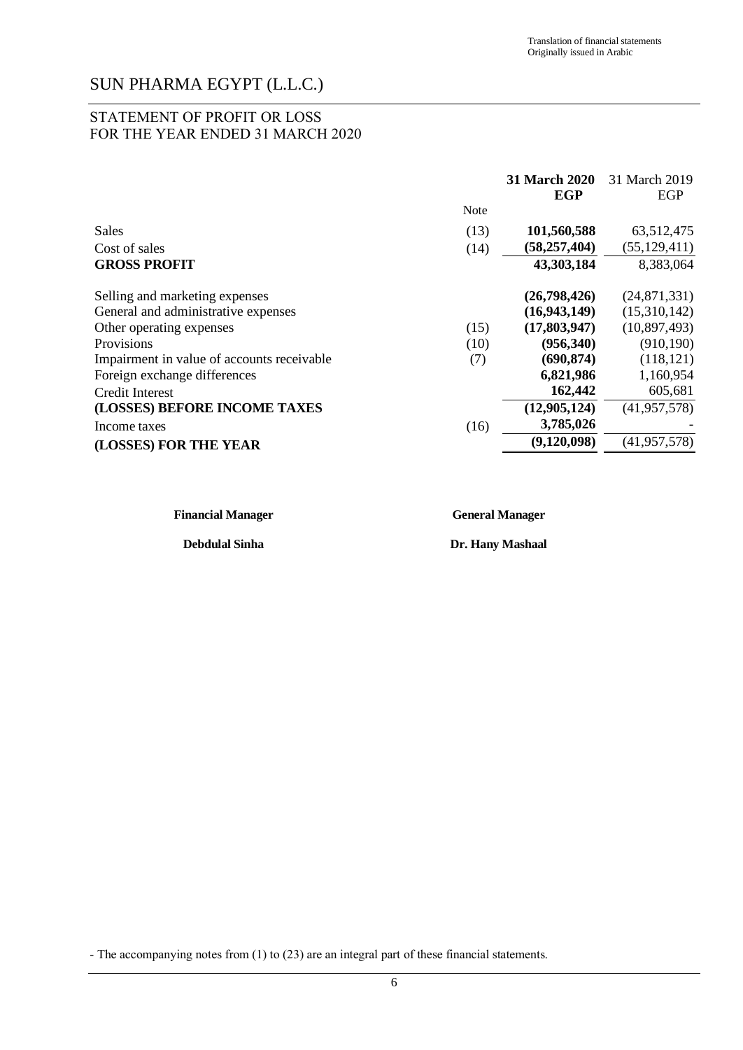#### STATEMENT OF PROFIT OR LOSS FOR THE YEAR ENDED 31 MARCH 2020

|                                            |      | 31 March 2020<br>EGP | 31 March 2019<br>EGP |
|--------------------------------------------|------|----------------------|----------------------|
|                                            | Note |                      |                      |
| Sales                                      | (13) | 101,560,588          | 63,512,475           |
| Cost of sales                              | (14) | (58, 257, 404)       | (55, 129, 411)       |
| <b>GROSS PROFIT</b>                        |      | 43,303,184           | 8,383,064            |
| Selling and marketing expenses             |      | (26,798,426)         | (24, 871, 331)       |
| General and administrative expenses        |      | (16, 943, 149)       | (15,310,142)         |
| Other operating expenses                   | (15) | (17,803,947)         | (10,897,493)         |
| Provisions                                 | (10) | (956, 340)           | (910, 190)           |
| Impairment in value of accounts receivable | (7)  | (690, 874)           | (118, 121)           |
| Foreign exchange differences               |      | 6,821,986            | 1,160,954            |
| Credit Interest                            |      | 162,442              | 605,681              |
| (LOSSES) BEFORE INCOME TAXES               |      | (12,905,124)         | (41, 957, 578)       |
| Income taxes                               | (16) | 3,785,026            |                      |
| (LOSSES) FOR THE YEAR                      |      | (9,120,098)          | (41, 957, 578)       |

| <b>Financial Manager</b> | <b>General Manager</b> |
|--------------------------|------------------------|
| <b>Debdulal Sinha</b>    | Dr. Hany Mashaal       |

<sup>-</sup> The accompanying notes from (1) to (23) are an integral part of these financial statements.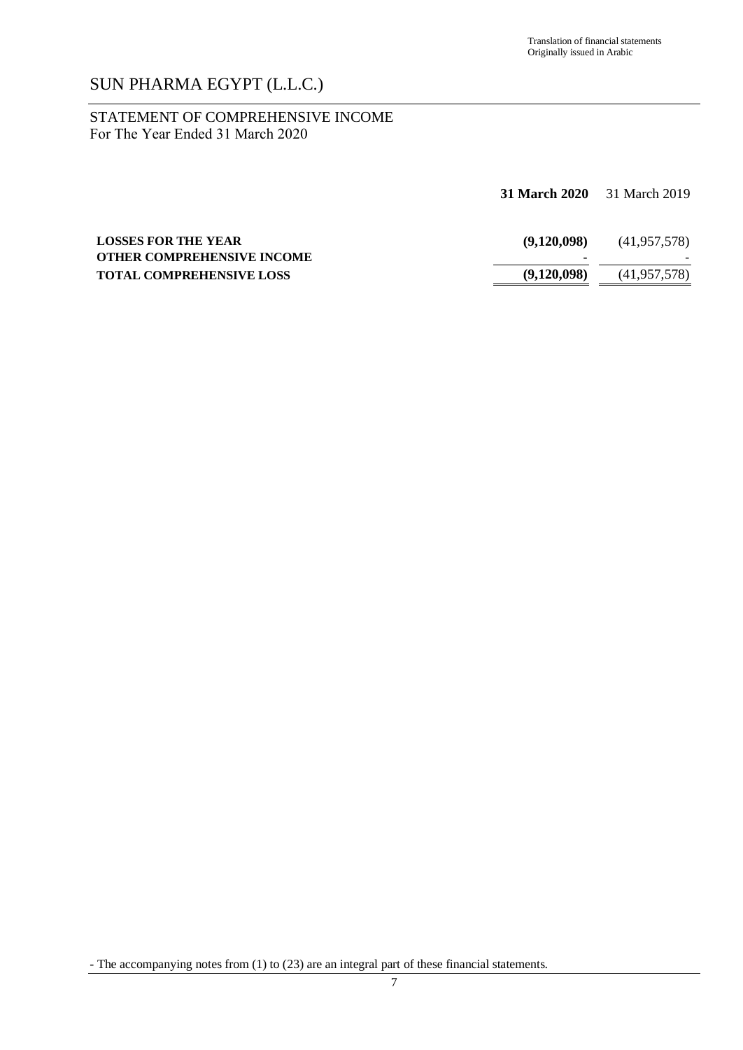#### STATEMENT OF COMPREHENSIVE INCOME For The Year Ended 31 March 2020

|                                                                 | <b>31 March 2020</b> 31 March 2019 |                |
|-----------------------------------------------------------------|------------------------------------|----------------|
| <b>LOSSES FOR THE YEAR</b><br><b>OTHER COMPREHENSIVE INCOME</b> | (9.120.098)                        | (41, 957, 578) |
| <b>TOTAL COMPREHENSIVE LOSS</b>                                 | (9,120,098)                        | (41, 957, 578) |

<sup>-</sup> The accompanying notes from (1) to (23) are an integral part of these financial statements.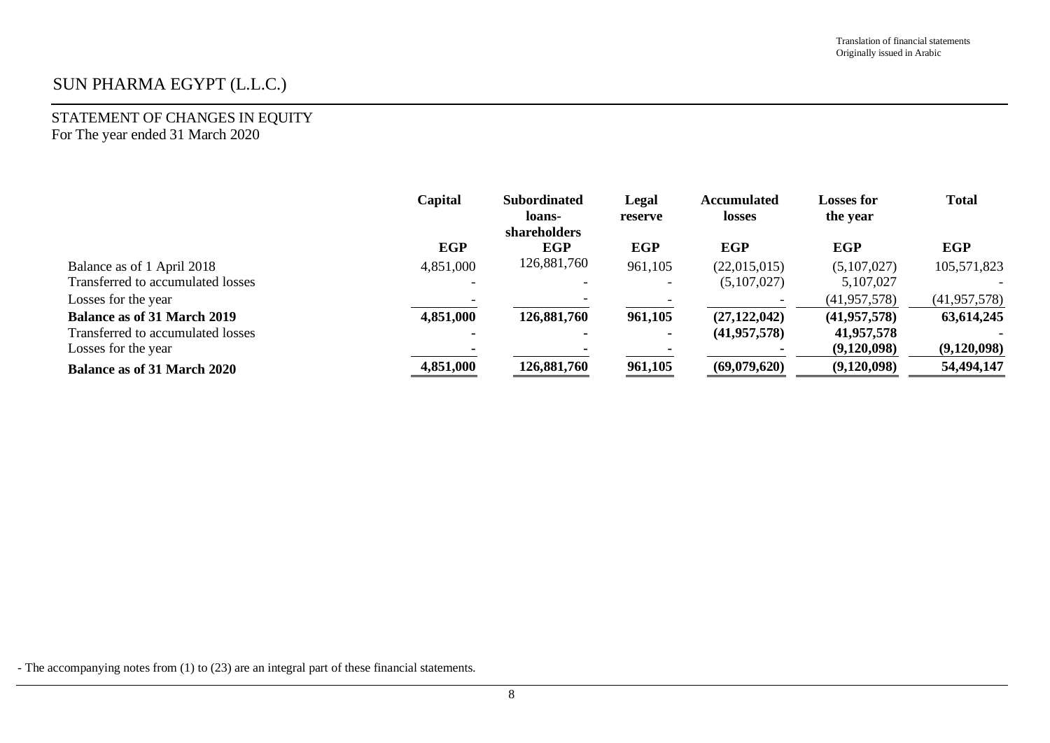#### STATEMENT OF CHANGES IN EQUITY For The year ended 31 March 2020

|                                    | Capital        | <b>Subordinated</b><br>loans-<br>shareholders | Legal<br>reserve | <b>Accumulated</b><br><b>losses</b> | <b>Losses for</b><br>the year | <b>Total</b>   |
|------------------------------------|----------------|-----------------------------------------------|------------------|-------------------------------------|-------------------------------|----------------|
|                                    | <b>EGP</b>     | <b>EGP</b>                                    | <b>EGP</b>       | <b>EGP</b>                          | <b>EGP</b>                    | <b>EGP</b>     |
| Balance as of 1 April 2018         | 4,851,000      | 126,881,760                                   | 961,105          | (22,015,015)                        | (5,107,027)                   | 105,571,823    |
| Transferred to accumulated losses  |                |                                               |                  | (5,107,027)                         | 5,107,027                     |                |
| Losses for the year                |                |                                               |                  |                                     | (41, 957, 578)                | (41, 957, 578) |
| <b>Balance as of 31 March 2019</b> | 4,851,000      | 126,881,760                                   | 961,105          | (27, 122, 042)                      | (41, 957, 578)                | 63,614,245     |
| Transferred to accumulated losses  | $\blacksquare$ |                                               | ж.               | (41, 957, 578)                      | 41,957,578                    |                |
| Losses for the year                |                |                                               |                  |                                     | (9,120,098)                   | (9,120,098)    |
| <b>Balance as of 31 March 2020</b> | 4,851,000      | 126,881,760                                   | 961,105          | (69,079,620)                        | (9,120,098)                   | 54,494,147     |

- The accompanying notes from (1) to (23) are an integral part of these financial statements.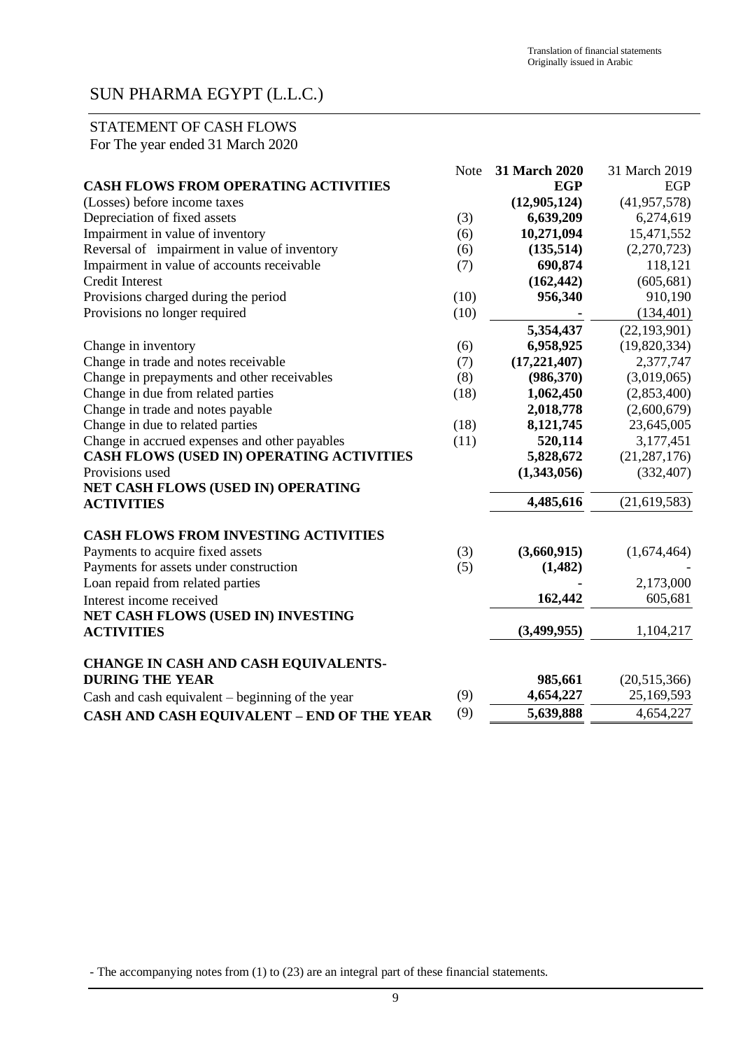### STATEMENT OF CASH FLOWS For The year ended 31 March 2020

|                                                    | <b>Note</b> | 31 March 2020 | 31 March 2019  |
|----------------------------------------------------|-------------|---------------|----------------|
| <b>CASH FLOWS FROM OPERATING ACTIVITIES</b>        |             | <b>EGP</b>    | EGP            |
| (Losses) before income taxes                       |             | (12,905,124)  | (41, 957, 578) |
| Depreciation of fixed assets                       | (3)         | 6,639,209     | 6,274,619      |
| Impairment in value of inventory                   | (6)         | 10,271,094    | 15,471,552     |
| Reversal of impairment in value of inventory       | (6)         | (135,514)     | (2,270,723)    |
| Impairment in value of accounts receivable         | (7)         | 690,874       | 118,121        |
| <b>Credit Interest</b>                             |             | (162, 442)    | (605, 681)     |
| Provisions charged during the period               | (10)        | 956,340       | 910,190        |
| Provisions no longer required                      | (10)        |               | (134, 401)     |
|                                                    |             | 5,354,437     | (22, 193, 901) |
| Change in inventory                                | (6)         | 6,958,925     | (19,820,334)   |
| Change in trade and notes receivable               | (7)         | (17,221,407)  | 2,377,747      |
| Change in prepayments and other receivables        | (8)         | (986,370)     | (3,019,065)    |
| Change in due from related parties                 | (18)        | 1,062,450     | (2,853,400)    |
| Change in trade and notes payable                  |             | 2,018,778     | (2,600,679)    |
| Change in due to related parties                   | (18)        | 8,121,745     | 23,645,005     |
| Change in accrued expenses and other payables      | (11)        | 520,114       | 3,177,451      |
| <b>CASH FLOWS (USED IN) OPERATING ACTIVITIES</b>   |             | 5,828,672     | (21, 287, 176) |
| Provisions used                                    |             | (1,343,056)   | (332, 407)     |
| NET CASH FLOWS (USED IN) OPERATING                 |             |               |                |
| <b>ACTIVITIES</b>                                  |             | 4,485,616     | (21, 619, 583) |
| <b>CASH FLOWS FROM INVESTING ACTIVITIES</b>        |             |               |                |
| Payments to acquire fixed assets                   | (3)         | (3,660,915)   | (1,674,464)    |
| Payments for assets under construction             | (5)         | (1,482)       |                |
| Loan repaid from related parties                   |             |               | 2,173,000      |
| Interest income received                           |             | 162,442       | 605,681        |
| NET CASH FLOWS (USED IN) INVESTING                 |             |               |                |
| <b>ACTIVITIES</b>                                  |             | (3,499,955)   | 1,104,217      |
| CHANGE IN CASH AND CASH EQUIVALENTS-               |             |               |                |
| <b>DURING THE YEAR</b>                             |             | 985,661       | (20,515,366)   |
| Cash and cash equivalent $-$ beginning of the year | (9)         | 4,654,227     | 25,169,593     |
| <b>CASH AND CASH EQUIVALENT - END OF THE YEAR</b>  | (9)         | 5,639,888     | 4,654,227      |
|                                                    |             |               |                |

- The accompanying notes from (1) to (23) are an integral part of these financial statements.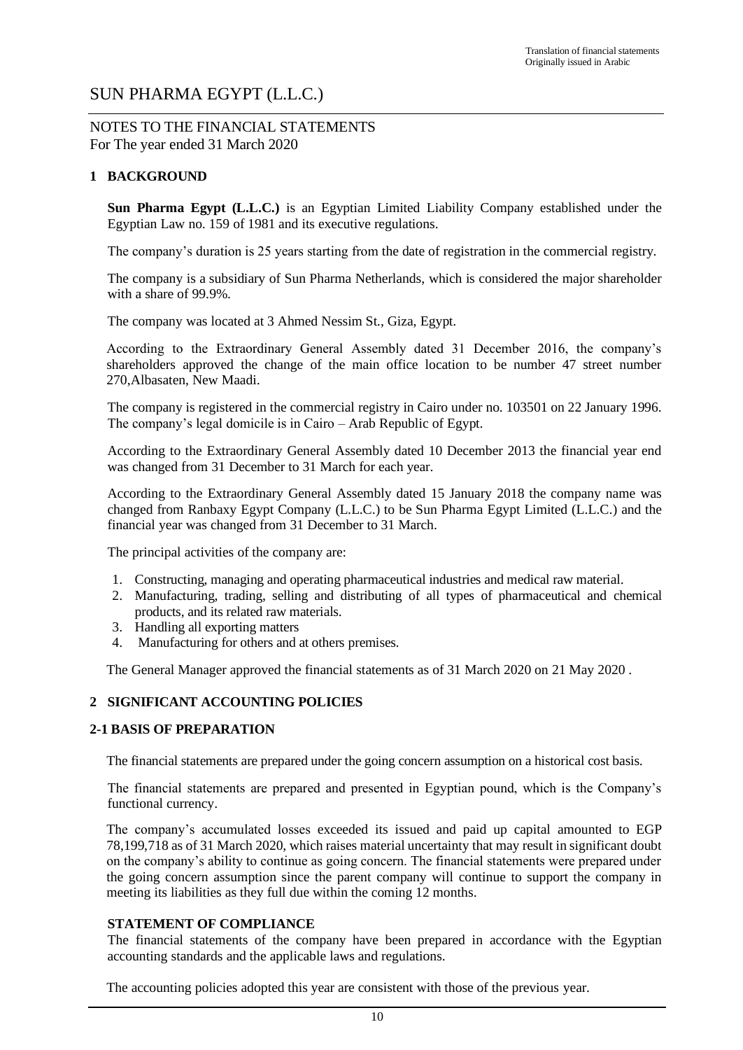NOTES TO THE FINANCIAL STATEMENTS For The year ended 31 March 2020

#### **1 BACKGROUND**

**Sun Pharma Egypt (L.L.C.)** is an Egyptian Limited Liability Company established under the Egyptian Law no. 159 of 1981 and its executive regulations.

The company's duration is 25 years starting from the date of registration in the commercial registry.

The company is a subsidiary of Sun Pharma Netherlands, which is considered the major shareholder with a share of 99.9%.

The company was located at 3 Ahmed Nessim St., Giza, Egypt.

According to the Extraordinary General Assembly dated 31 December 2016, the company's shareholders approved the change of the main office location to be number 47 street number 270,Albasaten, New Maadi.

The company is registered in the commercial registry in Cairo under no. 103501 on 22 January 1996. The company's legal domicile is in Cairo – Arab Republic of Egypt.

According to the Extraordinary General Assembly dated 10 December 2013 the financial year end was changed from 31 December to 31 March for each year.

According to the Extraordinary General Assembly dated 15 January 2018 the company name was changed from Ranbaxy Egypt Company (L.L.C.) to be Sun Pharma Egypt Limited (L.L.C.) and the financial year was changed from 31 December to 31 March.

The principal activities of the company are:

- 1. Constructing, managing and operating pharmaceutical industries and medical raw material.
- 2. Manufacturing, trading, selling and distributing of all types of pharmaceutical and chemical products, and its related raw materials.
- 3. Handling all exporting matters
- 4. Manufacturing for others and at others premises.

The General Manager approved the financial statements as of 31 March 2020 on 21 May 2020 .

#### **2 SIGNIFICANT ACCOUNTING POLICIES**

#### **2-1 BASIS OF PREPARATION**

The financial statements are prepared under the going concern assumption on a historical cost basis.

The financial statements are prepared and presented in Egyptian pound, which is the Company's functional currency.

The company's accumulated losses exceeded its issued and paid up capital amounted to EGP 78,199,718 as of 31 March 2020, which raises material uncertainty that may result in significant doubt on the company's ability to continue as going concern. The financial statements were prepared under the going concern assumption since the parent company will continue to support the company in meeting its liabilities as they full due within the coming 12 months.

#### **STATEMENT OF COMPLIANCE**

The financial statements of the company have been prepared in accordance with the Egyptian accounting standards and the applicable laws and regulations.

The accounting policies adopted this year are consistent with those of the previous year.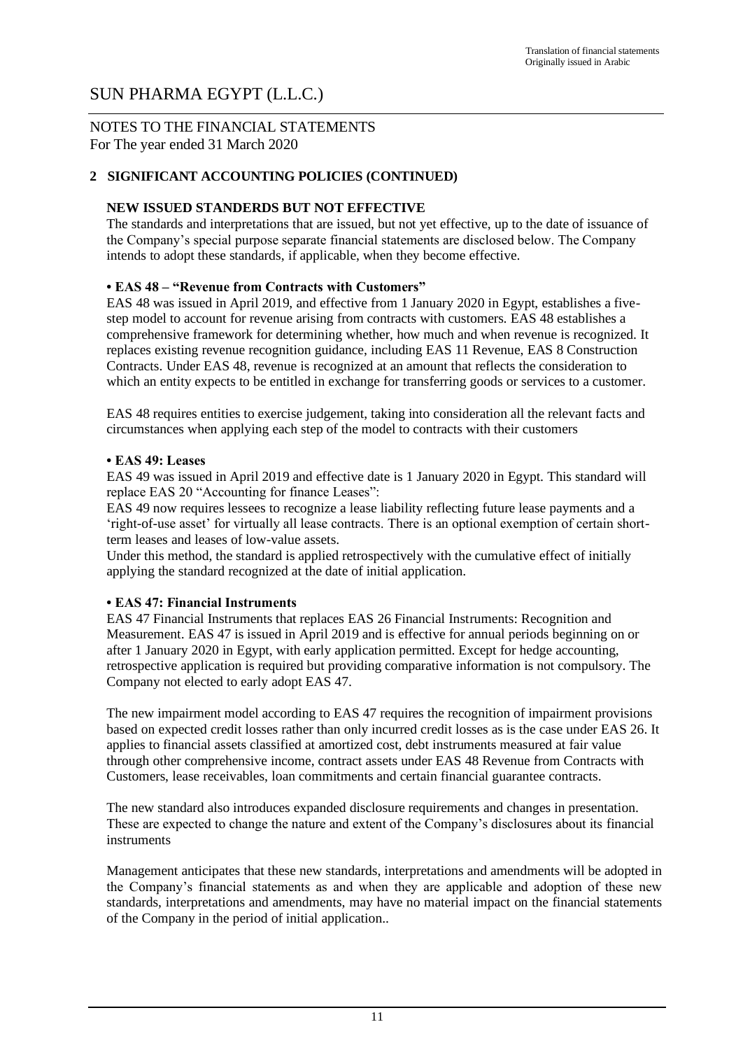#### NOTES TO THE FINANCIAL STATEMENTS For The year ended 31 March 2020

#### **2 SIGNIFICANT ACCOUNTING POLICIES (CONTINUED)**

#### **NEW ISSUED STANDERDS BUT NOT EFFECTIVE**

The standards and interpretations that are issued, but not yet effective, up to the date of issuance of the Company's special purpose separate financial statements are disclosed below. The Company intends to adopt these standards, if applicable, when they become effective.

#### **• EAS 48 – "Revenue from Contracts with Customers"**

EAS 48 was issued in April 2019, and effective from 1 January 2020 in Egypt, establishes a fivestep model to account for revenue arising from contracts with customers. EAS 48 establishes a comprehensive framework for determining whether, how much and when revenue is recognized. It replaces existing revenue recognition guidance, including EAS 11 Revenue, EAS 8 Construction Contracts. Under EAS 48, revenue is recognized at an amount that reflects the consideration to which an entity expects to be entitled in exchange for transferring goods or services to a customer.

EAS 48 requires entities to exercise judgement, taking into consideration all the relevant facts and circumstances when applying each step of the model to contracts with their customers

#### **• EAS 49: Leases**

EAS 49 was issued in April 2019 and effective date is 1 January 2020 in Egypt. This standard will replace EAS 20 "Accounting for finance Leases":

EAS 49 now requires lessees to recognize a lease liability reflecting future lease payments and a 'right-of-use asset' for virtually all lease contracts. There is an optional exemption of certain shortterm leases and leases of low-value assets.

Under this method, the standard is applied retrospectively with the cumulative effect of initially applying the standard recognized at the date of initial application.

#### **• EAS 47: Financial Instruments**

EAS 47 Financial Instruments that replaces EAS 26 Financial Instruments: Recognition and Measurement. EAS 47 is issued in April 2019 and is effective for annual periods beginning on or after 1 January 2020 in Egypt, with early application permitted. Except for hedge accounting, retrospective application is required but providing comparative information is not compulsory. The Company not elected to early adopt EAS 47.

The new impairment model according to EAS 47 requires the recognition of impairment provisions based on expected credit losses rather than only incurred credit losses as is the case under EAS 26. It applies to financial assets classified at amortized cost, debt instruments measured at fair value through other comprehensive income, contract assets under EAS 48 Revenue from Contracts with Customers, lease receivables, loan commitments and certain financial guarantee contracts.

The new standard also introduces expanded disclosure requirements and changes in presentation. These are expected to change the nature and extent of the Company's disclosures about its financial instruments

Management anticipates that these new standards, interpretations and amendments will be adopted in the Company's financial statements as and when they are applicable and adoption of these new standards, interpretations and amendments, may have no material impact on the financial statements of the Company in the period of initial application..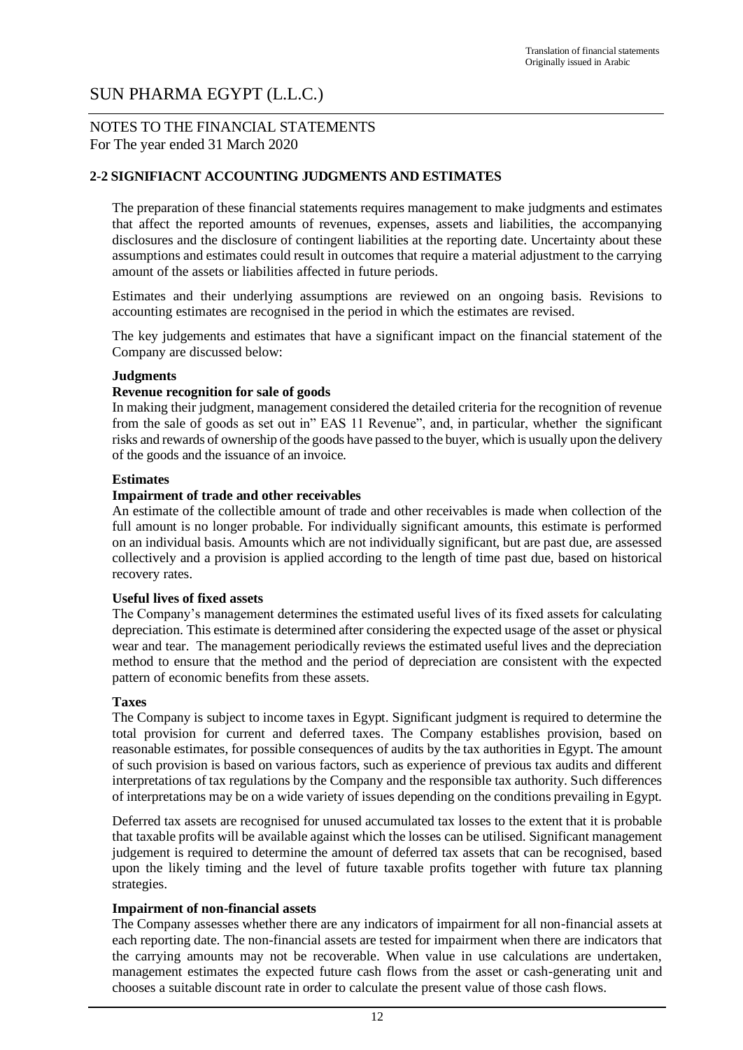#### NOTES TO THE FINANCIAL STATEMENTS For The year ended 31 March 2020

#### **2-2 SIGNIFIACNT ACCOUNTING JUDGMENTS AND ESTIMATES**

The preparation of these financial statements requires management to make judgments and estimates that affect the reported amounts of revenues, expenses, assets and liabilities, the accompanying disclosures and the disclosure of contingent liabilities at the reporting date. Uncertainty about these assumptions and estimates could result in outcomes that require a material adjustment to the carrying amount of the assets or liabilities affected in future periods.

Estimates and their underlying assumptions are reviewed on an ongoing basis. Revisions to accounting estimates are recognised in the period in which the estimates are revised.

The key judgements and estimates that have a significant impact on the financial statement of the Company are discussed below:

#### **Judgments**

#### **Revenue recognition for sale of goods**

In making their judgment, management considered the detailed criteria for the recognition of revenue from the sale of goods as set out in" EAS 11 Revenue", and, in particular, whether the significant risks and rewards of ownership of the goods have passed to the buyer, which is usually upon the delivery of the goods and the issuance of an invoice.

#### **Estimates**

#### **Impairment of trade and other receivables**

An estimate of the collectible amount of trade and other receivables is made when collection of the full amount is no longer probable. For individually significant amounts, this estimate is performed on an individual basis. Amounts which are not individually significant, but are past due, are assessed collectively and a provision is applied according to the length of time past due, based on historical recovery rates.

#### **Useful lives of fixed assets**

The Company's management determines the estimated useful lives of its fixed assets for calculating depreciation. This estimate is determined after considering the expected usage of the asset or physical wear and tear. The management periodically reviews the estimated useful lives and the depreciation method to ensure that the method and the period of depreciation are consistent with the expected pattern of economic benefits from these assets.

#### **Taxes**

The Company is subject to income taxes in Egypt. Significant judgment is required to determine the total provision for current and deferred taxes. The Company establishes provision, based on reasonable estimates, for possible consequences of audits by the tax authorities in Egypt. The amount of such provision is based on various factors, such as experience of previous tax audits and different interpretations of tax regulations by the Company and the responsible tax authority. Such differences of interpretations may be on a wide variety of issues depending on the conditions prevailing in Egypt.

Deferred tax assets are recognised for unused accumulated tax losses to the extent that it is probable that taxable profits will be available against which the losses can be utilised. Significant management judgement is required to determine the amount of deferred tax assets that can be recognised, based upon the likely timing and the level of future taxable profits together with future tax planning strategies.

#### **Impairment of non-financial assets**

The Company assesses whether there are any indicators of impairment for all non-financial assets at each reporting date. The non-financial assets are tested for impairment when there are indicators that the carrying amounts may not be recoverable. When value in use calculations are undertaken, management estimates the expected future cash flows from the asset or cash-generating unit and chooses a suitable discount rate in order to calculate the present value of those cash flows.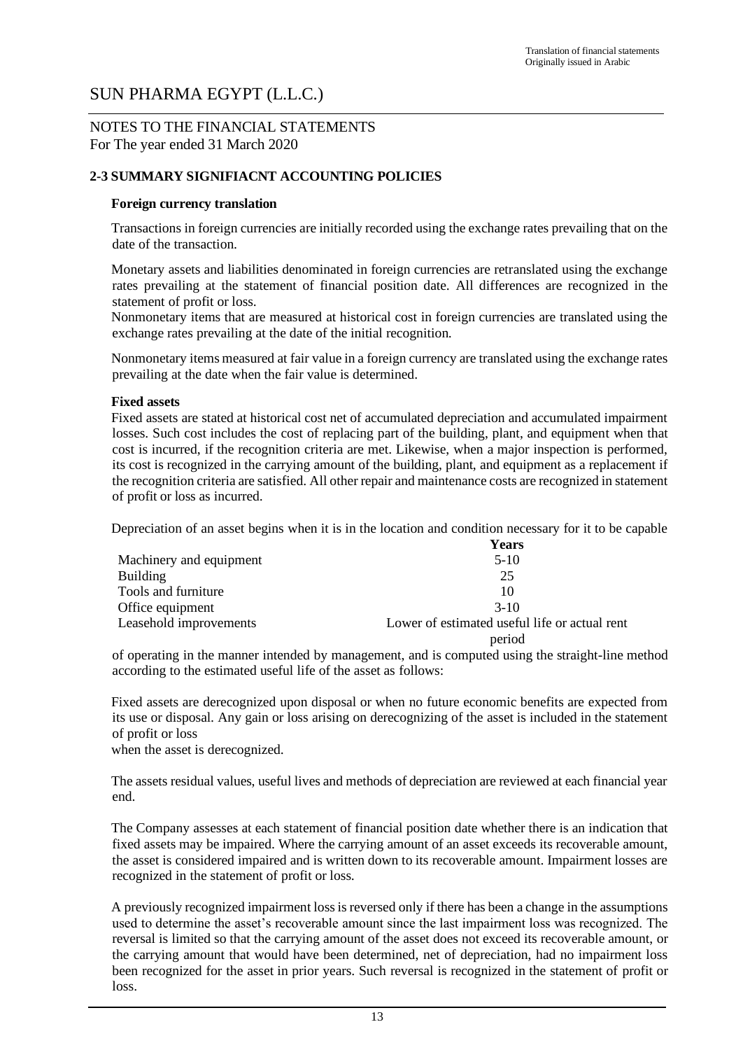#### NOTES TO THE FINANCIAL STATEMENTS For The year ended 31 March 2020

#### **2-3 SUMMARY SIGNIFIACNT ACCOUNTING POLICIES**

#### **Foreign currency translation**

Transactions in foreign currencies are initially recorded using the exchange rates prevailing that on the date of the transaction.

Monetary assets and liabilities denominated in foreign currencies are retranslated using the exchange rates prevailing at the statement of financial position date. All differences are recognized in the statement of profit or loss.

Nonmonetary items that are measured at historical cost in foreign currencies are translated using the exchange rates prevailing at the date of the initial recognition.

Nonmonetary items measured at fair value in a foreign currency are translated using the exchange rates prevailing at the date when the fair value is determined.

#### **Fixed assets**

Fixed assets are stated at historical cost net of accumulated depreciation and accumulated impairment losses. Such cost includes the cost of replacing part of the building, plant, and equipment when that cost is incurred, if the recognition criteria are met. Likewise, when a major inspection is performed, its cost is recognized in the carrying amount of the building, plant, and equipment as a replacement if the recognition criteria are satisfied. All other repair and maintenance costs are recognized in statement of profit or loss as incurred.

Depreciation of an asset begins when it is in the location and condition necessary for it to be capable

|                         | <b>Years</b>                                  |
|-------------------------|-----------------------------------------------|
| Machinery and equipment | $5-10$                                        |
| <b>Building</b>         | 25                                            |
| Tools and furniture     | 10                                            |
| Office equipment        | $3-10$                                        |
| Leasehold improvements  | Lower of estimated useful life or actual rent |
|                         | period                                        |

of operating in the manner intended by management, and is computed using the straight-line method according to the estimated useful life of the asset as follows:

Fixed assets are derecognized upon disposal or when no future economic benefits are expected from its use or disposal. Any gain or loss arising on derecognizing of the asset is included in the statement of profit or loss

when the asset is derecognized.

The assets residual values, useful lives and methods of depreciation are reviewed at each financial year end.

The Company assesses at each statement of financial position date whether there is an indication that fixed assets may be impaired. Where the carrying amount of an asset exceeds its recoverable amount, the asset is considered impaired and is written down to its recoverable amount. Impairment losses are recognized in the statement of profit or loss.

A previously recognized impairment loss is reversed only if there has been a change in the assumptions used to determine the asset's recoverable amount since the last impairment loss was recognized. The reversal is limited so that the carrying amount of the asset does not exceed its recoverable amount, or the carrying amount that would have been determined, net of depreciation, had no impairment loss been recognized for the asset in prior years. Such reversal is recognized in the statement of profit or loss.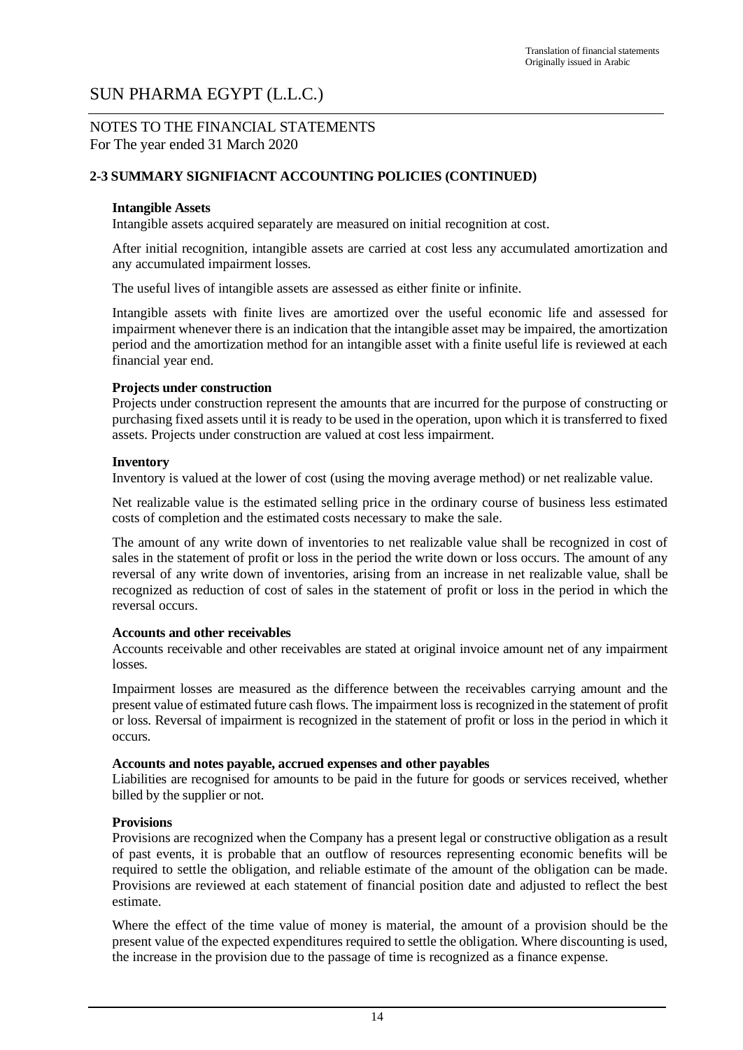#### NOTES TO THE FINANCIAL STATEMENTS For The year ended 31 March 2020

#### **2-3 SUMMARY SIGNIFIACNT ACCOUNTING POLICIES (CONTINUED)**

#### **Intangible Assets**

Intangible assets acquired separately are measured on initial recognition at cost.

After initial recognition, intangible assets are carried at cost less any accumulated amortization and any accumulated impairment losses.

The useful lives of intangible assets are assessed as either finite or infinite.

Intangible assets with finite lives are amortized over the useful economic life and assessed for impairment whenever there is an indication that the intangible asset may be impaired, the amortization period and the amortization method for an intangible asset with a finite useful life is reviewed at each financial year end.

#### **Projects under construction**

Projects under construction represent the amounts that are incurred for the purpose of constructing or purchasing fixed assets until it is ready to be used in the operation, upon which it is transferred to fixed assets. Projects under construction are valued at cost less impairment.

#### **Inventory**

Inventory is valued at the lower of cost (using the moving average method) or net realizable value.

Net realizable value is the estimated selling price in the ordinary course of business less estimated costs of completion and the estimated costs necessary to make the sale.

The amount of any write down of inventories to net realizable value shall be recognized in cost of sales in the statement of profit or loss in the period the write down or loss occurs. The amount of any reversal of any write down of inventories, arising from an increase in net realizable value, shall be recognized as reduction of cost of sales in the statement of profit or loss in the period in which the reversal occurs.

#### **Accounts and other receivables**

Accounts receivable and other receivables are stated at original invoice amount net of any impairment losses.

Impairment losses are measured as the difference between the receivables carrying amount and the present value of estimated future cash flows. The impairment loss is recognized in the statement of profit or loss. Reversal of impairment is recognized in the statement of profit or loss in the period in which it occurs.

#### **Accounts and notes payable, accrued expenses and other payables**

Liabilities are recognised for amounts to be paid in the future for goods or services received, whether billed by the supplier or not.

#### **Provisions**

Provisions are recognized when the Company has a present legal or constructive obligation as a result of past events, it is probable that an outflow of resources representing economic benefits will be required to settle the obligation, and reliable estimate of the amount of the obligation can be made. Provisions are reviewed at each statement of financial position date and adjusted to reflect the best estimate.

Where the effect of the time value of money is material, the amount of a provision should be the present value of the expected expenditures required to settle the obligation. Where discounting is used, the increase in the provision due to the passage of time is recognized as a finance expense.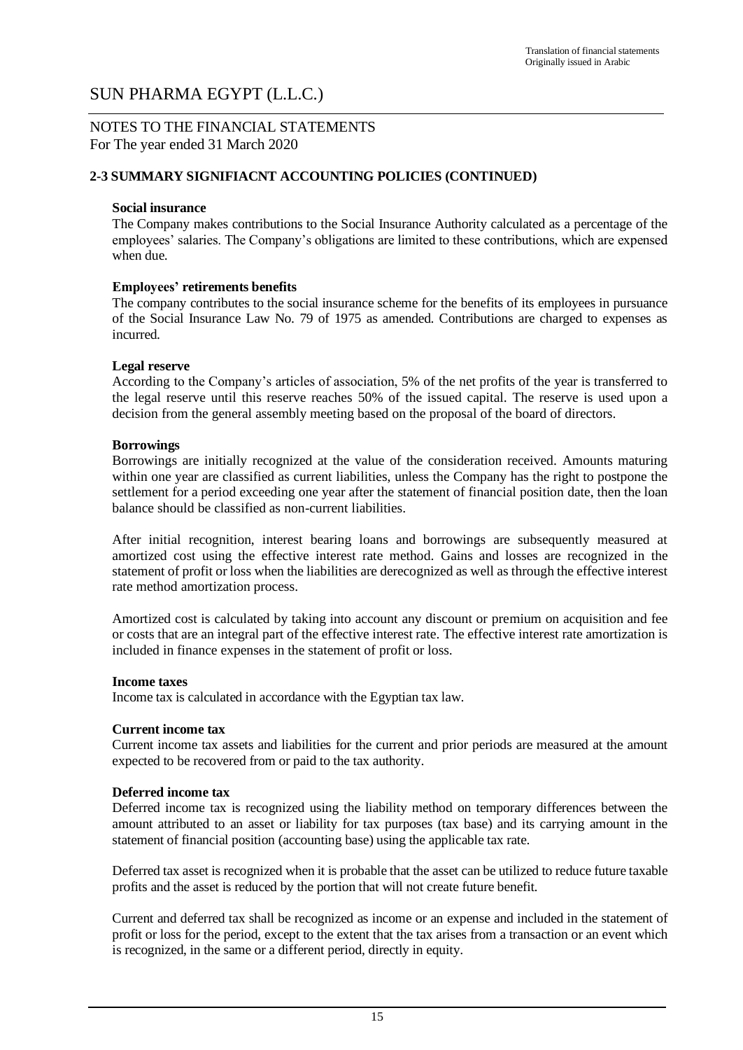#### NOTES TO THE FINANCIAL STATEMENTS For The year ended 31 March 2020

#### **2-3 SUMMARY SIGNIFIACNT ACCOUNTING POLICIES (CONTINUED)**

#### **Social insurance**

The Company makes contributions to the Social Insurance Authority calculated as a percentage of the employees' salaries. The Company's obligations are limited to these contributions, which are expensed when due.

#### **Employees' retirements benefits**

The company contributes to the social insurance scheme for the benefits of its employees in pursuance of the Social Insurance Law No. 79 of 1975 as amended. Contributions are charged to expenses as incurred.

#### **Legal reserve**

According to the Company's articles of association, 5% of the net profits of the year is transferred to the legal reserve until this reserve reaches 50% of the issued capital. The reserve is used upon a decision from the general assembly meeting based on the proposal of the board of directors.

#### **Borrowings**

Borrowings are initially recognized at the value of the consideration received. Amounts maturing within one year are classified as current liabilities, unless the Company has the right to postpone the settlement for a period exceeding one year after the statement of financial position date, then the loan balance should be classified as non-current liabilities.

After initial recognition, interest bearing loans and borrowings are subsequently measured at amortized cost using the effective interest rate method. Gains and losses are recognized in the statement of profit or loss when the liabilities are derecognized as well as through the effective interest rate method amortization process.

Amortized cost is calculated by taking into account any discount or premium on acquisition and fee or costs that are an integral part of the effective interest rate. The effective interest rate amortization is included in finance expenses in the statement of profit or loss.

#### **Income taxes**

Income tax is calculated in accordance with the Egyptian tax law.

#### **Current income tax**

Current income tax assets and liabilities for the current and prior periods are measured at the amount expected to be recovered from or paid to the tax authority.

#### **Deferred income tax**

Deferred income tax is recognized using the liability method on temporary differences between the amount attributed to an asset or liability for tax purposes (tax base) and its carrying amount in the statement of financial position (accounting base) using the applicable tax rate.

Deferred tax asset is recognized when it is probable that the asset can be utilized to reduce future taxable profits and the asset is reduced by the portion that will not create future benefit.

Current and deferred tax shall be recognized as income or an expense and included in the statement of profit or loss for the period, except to the extent that the tax arises from a transaction or an event which is recognized, in the same or a different period, directly in equity.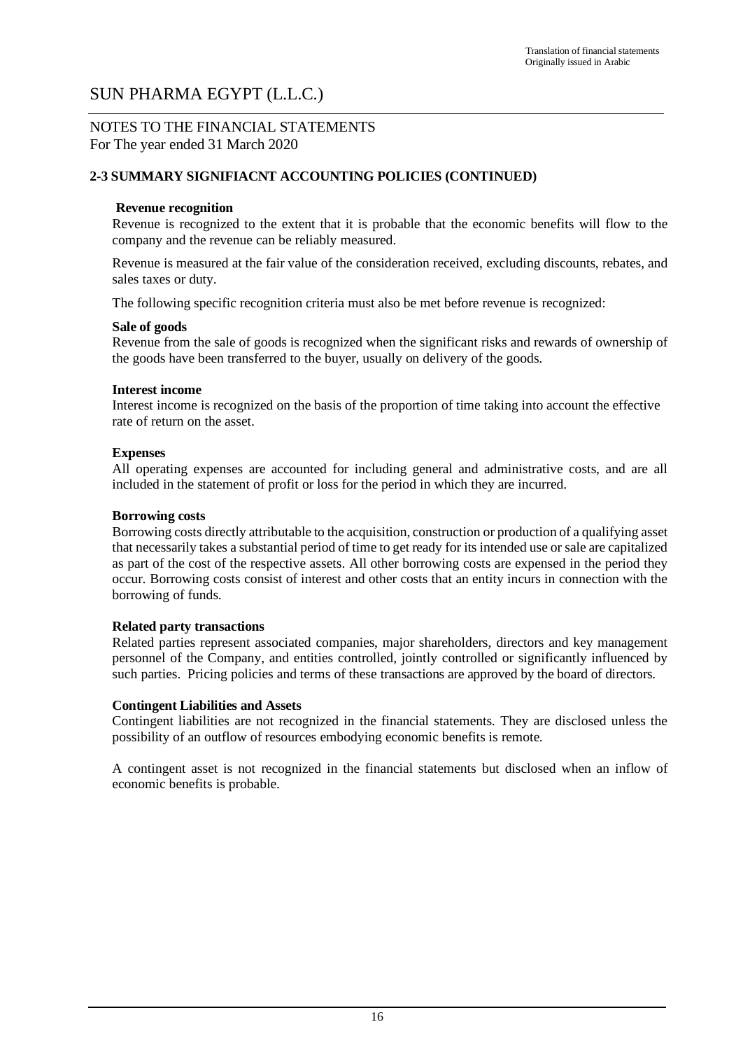#### NOTES TO THE FINANCIAL STATEMENTS For The year ended 31 March 2020

#### **2-3 SUMMARY SIGNIFIACNT ACCOUNTING POLICIES (CONTINUED)**

#### **Revenue recognition**

Revenue is recognized to the extent that it is probable that the economic benefits will flow to the company and the revenue can be reliably measured.

Revenue is measured at the fair value of the consideration received, excluding discounts, rebates, and sales taxes or duty.

The following specific recognition criteria must also be met before revenue is recognized:

#### **Sale of goods**

Revenue from the sale of goods is recognized when the significant risks and rewards of ownership of the goods have been transferred to the buyer, usually on delivery of the goods.

#### **Interest income**

Interest income is recognized on the basis of the proportion of time taking into account the effective rate of return on the asset.

#### **Expenses**

All operating expenses are accounted for including general and administrative costs, and are all included in the statement of profit or loss for the period in which they are incurred.

#### **Borrowing costs**

Borrowing costs directly attributable to the acquisition, construction or production of a qualifying asset that necessarily takes a substantial period of time to get ready for its intended use or sale are capitalized as part of the cost of the respective assets. All other borrowing costs are expensed in the period they occur. Borrowing costs consist of interest and other costs that an entity incurs in connection with the borrowing of funds.

#### **Related party transactions**

Related parties represent associated companies, major shareholders, directors and key management personnel of the Company, and entities controlled, jointly controlled or significantly influenced by such parties. Pricing policies and terms of these transactions are approved by the board of directors.

#### **Contingent Liabilities and Assets**

Contingent liabilities are not recognized in the financial statements. They are disclosed unless the possibility of an outflow of resources embodying economic benefits is remote.

A contingent asset is not recognized in the financial statements but disclosed when an inflow of economic benefits is probable.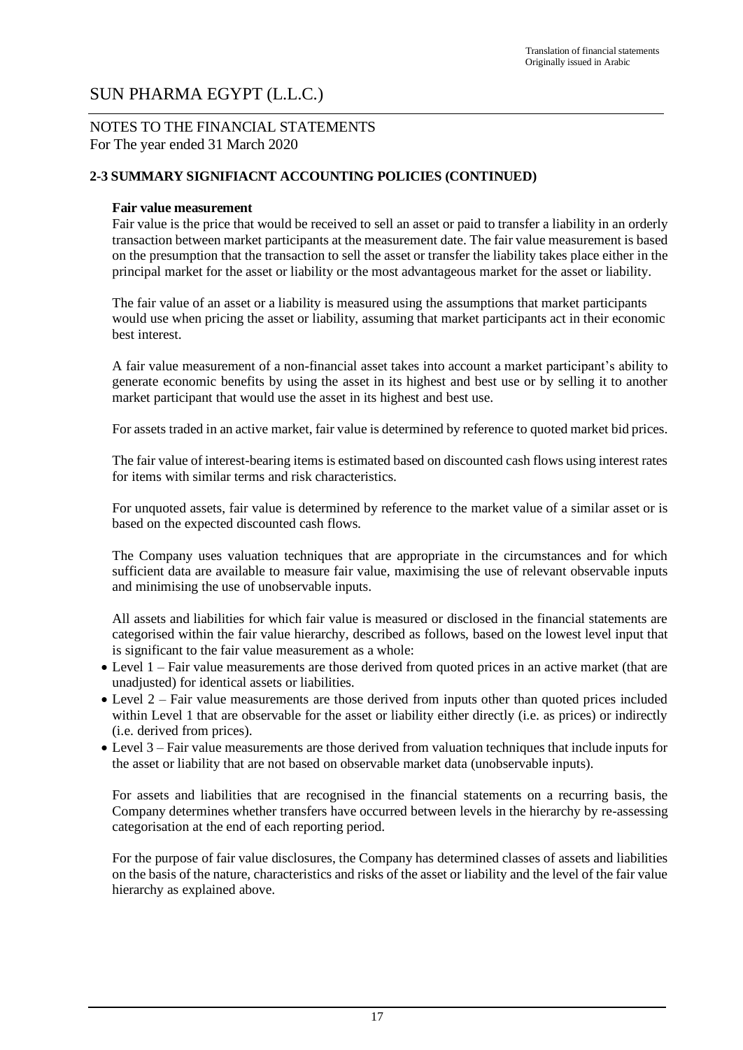#### NOTES TO THE FINANCIAL STATEMENTS For The year ended 31 March 2020

#### **2-3 SUMMARY SIGNIFIACNT ACCOUNTING POLICIES (CONTINUED)**

#### **Fair value measurement**

Fair value is the price that would be received to sell an asset or paid to transfer a liability in an orderly transaction between market participants at the measurement date. The fair value measurement is based on the presumption that the transaction to sell the asset or transfer the liability takes place either in the principal market for the asset or liability or the most advantageous market for the asset or liability.

The fair value of an asset or a liability is measured using the assumptions that market participants would use when pricing the asset or liability, assuming that market participants act in their economic best interest.

A fair value measurement of a non-financial asset takes into account a market participant's ability to generate economic benefits by using the asset in its highest and best use or by selling it to another market participant that would use the asset in its highest and best use.

For assets traded in an active market, fair value is determined by reference to quoted market bid prices.

The fair value of interest-bearing items is estimated based on discounted cash flows using interest rates for items with similar terms and risk characteristics.

For unquoted assets, fair value is determined by reference to the market value of a similar asset or is based on the expected discounted cash flows.

The Company uses valuation techniques that are appropriate in the circumstances and for which sufficient data are available to measure fair value, maximising the use of relevant observable inputs and minimising the use of unobservable inputs.

All assets and liabilities for which fair value is measured or disclosed in the financial statements are categorised within the fair value hierarchy, described as follows, based on the lowest level input that is significant to the fair value measurement as a whole:

- Level 1 Fair value measurements are those derived from quoted prices in an active market (that are unadjusted) for identical assets or liabilities.
- Level 2 Fair value measurements are those derived from inputs other than quoted prices included within Level 1 that are observable for the asset or liability either directly (i.e. as prices) or indirectly (i.e. derived from prices).
- Level 3 Fair value measurements are those derived from valuation techniques that include inputs for the asset or liability that are not based on observable market data (unobservable inputs).

For assets and liabilities that are recognised in the financial statements on a recurring basis, the Company determines whether transfers have occurred between levels in the hierarchy by re-assessing categorisation at the end of each reporting period.

For the purpose of fair value disclosures, the Company has determined classes of assets and liabilities on the basis of the nature, characteristics and risks of the asset or liability and the level of the fair value hierarchy as explained above.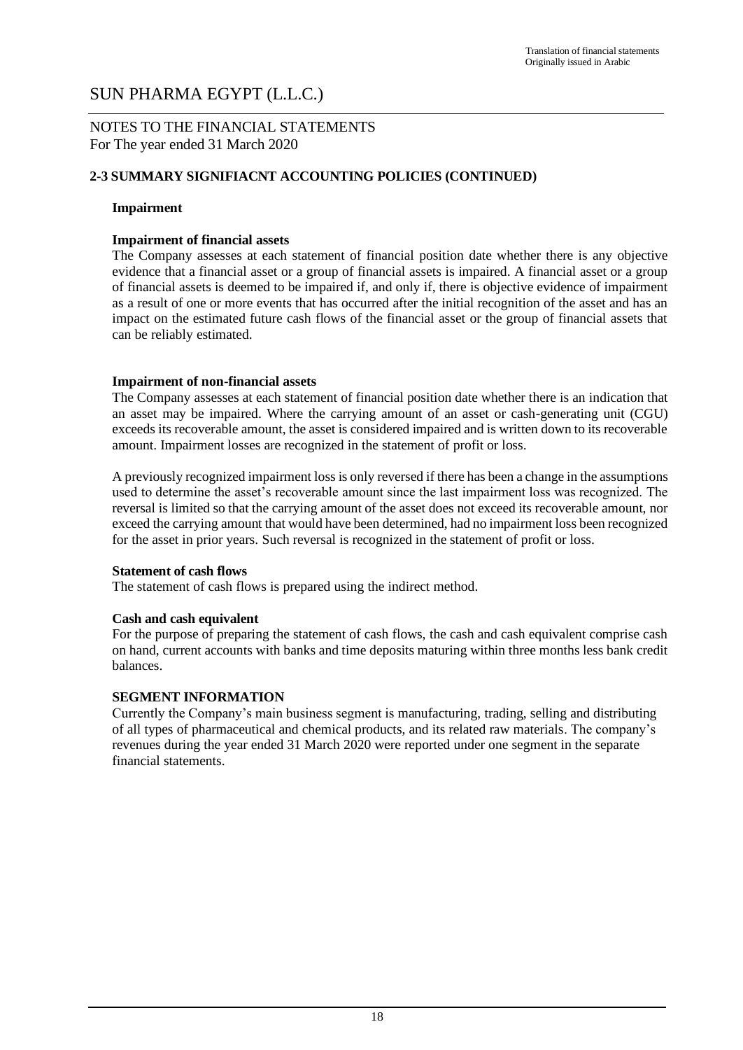#### NOTES TO THE FINANCIAL STATEMENTS For The year ended 31 March 2020

#### **2-3 SUMMARY SIGNIFIACNT ACCOUNTING POLICIES (CONTINUED)**

#### **Impairment**

#### **Impairment of financial assets**

The Company assesses at each statement of financial position date whether there is any objective evidence that a financial asset or a group of financial assets is impaired. A financial asset or a group of financial assets is deemed to be impaired if, and only if, there is objective evidence of impairment as a result of one or more events that has occurred after the initial recognition of the asset and has an impact on the estimated future cash flows of the financial asset or the group of financial assets that can be reliably estimated.

#### **Impairment of non-financial assets**

The Company assesses at each statement of financial position date whether there is an indication that an asset may be impaired. Where the carrying amount of an asset or cash-generating unit (CGU) exceeds its recoverable amount, the asset is considered impaired and is written down to its recoverable amount. Impairment losses are recognized in the statement of profit or loss.

A previously recognized impairment loss is only reversed if there has been a change in the assumptions used to determine the asset's recoverable amount since the last impairment loss was recognized. The reversal is limited so that the carrying amount of the asset does not exceed its recoverable amount, nor exceed the carrying amount that would have been determined, had no impairment loss been recognized for the asset in prior years. Such reversal is recognized in the statement of profit or loss.

#### **Statement of cash flows**

The statement of cash flows is prepared using the indirect method.

#### **Cash and cash equivalent**

For the purpose of preparing the statement of cash flows, the cash and cash equivalent comprise cash on hand, current accounts with banks and time deposits maturing within three months less bank credit balances.

#### **SEGMENT INFORMATION**

Currently the Company's main business segment is manufacturing, trading, selling and distributing of all types of pharmaceutical and chemical products, and its related raw materials. The company's revenues during the year ended 31 March 2020 were reported under one segment in the separate financial statements.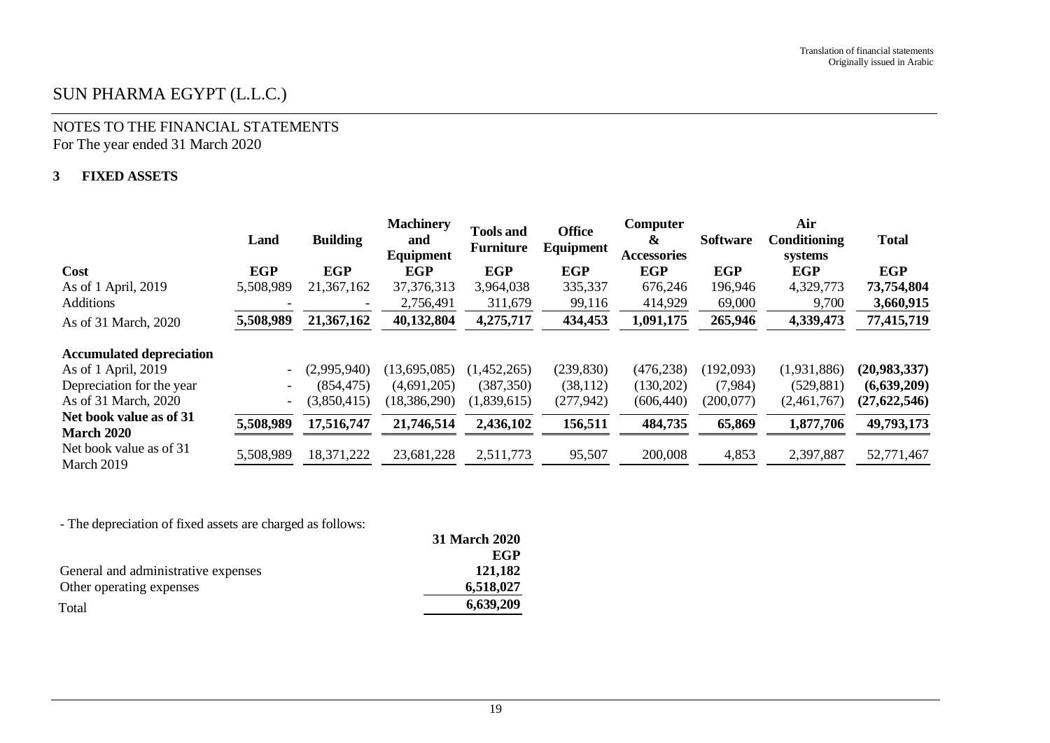### NOTES TO THE FINANCIAL STATEMENTS For The year ended 31 March 2020

#### **3 FIXED ASSETS**

|                                              | Land                     | <b>Building</b> | <b>Machinery</b><br>and<br>Equipment | <b>Tools and</b><br><b>Furniture</b> | <b>Office</b><br>Equipment | Computer<br>&<br>Accessories | <b>Software</b> | Air<br>Conditioning<br>systems | <b>Total</b>   |
|----------------------------------------------|--------------------------|-----------------|--------------------------------------|--------------------------------------|----------------------------|------------------------------|-----------------|--------------------------------|----------------|
| Cost                                         | <b>EGP</b>               | <b>EGP</b>      | <b>EGP</b>                           | <b>EGP</b>                           | <b>EGP</b>                 | <b>EGP</b>                   | <b>EGP</b>      | <b>EGP</b>                     | <b>EGP</b>     |
| As of 1 April, 2019                          | 5,508,989                | 21,367,162      | 37, 376, 313                         | 3,964,038                            | 335,337                    | 676,246                      | 196,946         | 4,329,773                      | 73,754,804     |
| <b>Additions</b>                             |                          |                 | 2,756,491                            | 311,679                              | 99,116                     | 414,929                      | 69,000          | 9,700                          | 3,660,915      |
| As of 31 March, 2020                         | 5,508,989                | 21,367,162      | 40,132,804                           | 4,275,717                            | 434,453                    | 1,091,175                    | 265,946         | 4,339,473                      | 77,415,719     |
| <b>Accumulated depreciation</b>              |                          |                 |                                      |                                      |                            |                              |                 |                                |                |
| As of 1 April, 2019                          | $\overline{\phantom{a}}$ | (2,995,940)     | (13,695,085)                         | (1,452,265)                          | (239, 830)                 | (476, 238)                   | (192,093)       | (1,931,886)                    | (20, 983, 337) |
| Depreciation for the year                    | $\overline{\phantom{a}}$ | (854, 475)      | (4,691,205)                          | (387, 350)                           | (38, 112)                  | (130,202)                    | (7,984)         | (529, 881)                     | (6,639,209)    |
| As of 31 March, 2020                         | $\overline{\phantom{a}}$ | (3,850,415)     | (18, 386, 290)                       | (1,839,615)                          | (277, 942)                 | (606, 440)                   | (200,077)       | (2,461,767)                    | (27, 622, 546) |
| Net book value as of 31<br><b>March 2020</b> | 5,508,989                | 17,516,747      | 21,746,514                           | 2,436,102                            | 156,511                    | 484,735                      | 65,869          | 1,877,706                      | 49,793,173     |
| Net book value as of 31<br>March 2019        | 5,508,989                | 18,371,222      | 23,681,228                           | 2,511,773                            | 95,507                     | 200,008                      | 4,853           | 2,397,887                      | 52,771,467     |

- The depreciation of fixed assets are charged as follows:

|                                     | 31 March 2020 |
|-------------------------------------|---------------|
|                                     | EGP           |
| General and administrative expenses | 121,182       |
| Other operating expenses            | 6,518,027     |
| Total                               | 6,639,209     |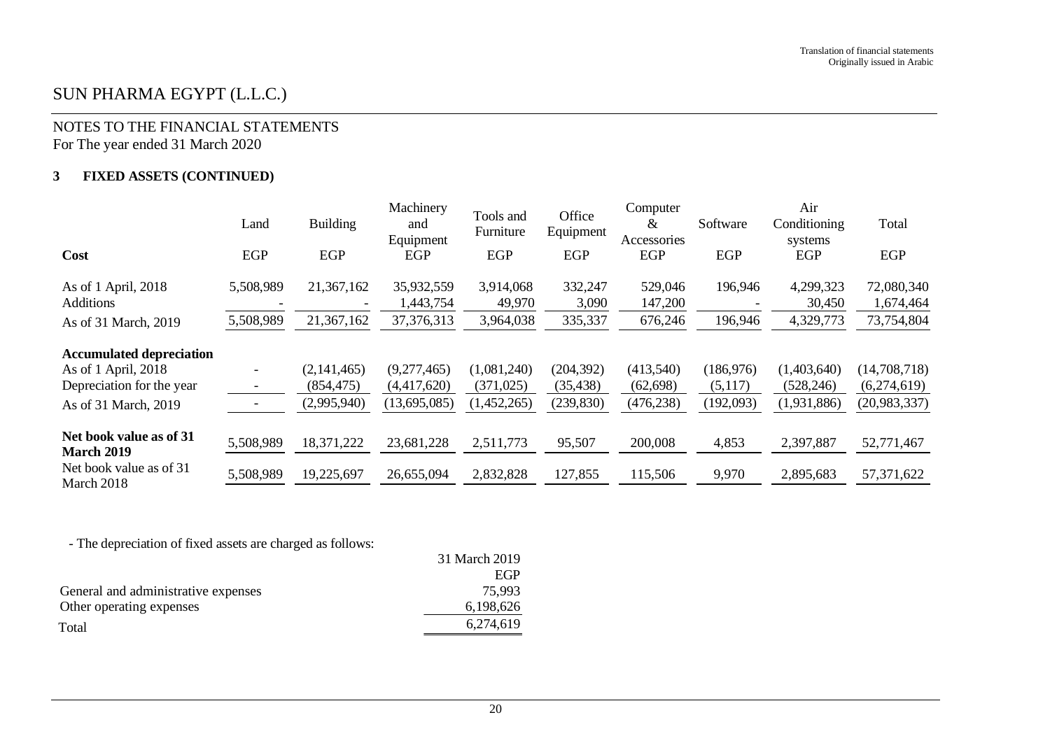### NOTES TO THE FINANCIAL STATEMENTS For The year ended 31 March 2020

#### **3 FIXED ASSETS (CONTINUED)**

|                                              | Land      | <b>Building</b>                        | Machinery<br>and<br>Equipment | Tools and<br>Furniture | Office<br>Equipment | Computer<br>&<br>Accessories | Software   | Air<br>Conditioning<br>systems | Total                   |
|----------------------------------------------|-----------|----------------------------------------|-------------------------------|------------------------|---------------------|------------------------------|------------|--------------------------------|-------------------------|
| Cost                                         | EGP       | <b>EGP</b>                             | EGP                           | EGP                    | <b>EGP</b>          | EGP                          | <b>EGP</b> | EGP                            | EGP                     |
| As of 1 April, 2018<br><b>Additions</b>      | 5,508,989 | 21,367,162<br>$\overline{\phantom{a}}$ | 35,932,559<br>1,443,754       | 3,914,068<br>49,970    | 332,247<br>3,090    | 529,046<br>147,200           | 196,946    | 4,299,323<br>30,450            | 72,080,340<br>1,674,464 |
| As of 31 March, 2019                         | 5,508,989 | 21,367,162                             | 37, 376, 313                  | 3,964,038              | 335,337             | 676,246                      | 196,946    | 4,329,773                      | 73,754,804              |
| <b>Accumulated depreciation</b>              |           |                                        |                               |                        |                     |                              |            |                                |                         |
| As of 1 April, 2018                          |           | (2,141,465)                            | (9,277,465)                   | (1,081,240)            | (204, 392)          | (413,540)                    | (186,976)  | (1,403,640)                    | (14,708,718)            |
| Depreciation for the year                    |           | (854, 475)                             | (4,417,620)                   | (371, 025)             | (35, 438)           | (62, 698)                    | (5,117)    | (528, 246)                     | (6,274,619)             |
| As of 31 March, 2019                         |           | (2,995,940)                            | (13,695,085)                  | (1,452,265)            | (239, 830)          | (476, 238)                   | (192,093)  | (1,931,886)                    | (20, 983, 337)          |
| Net book value as of 31<br><b>March 2019</b> | 5,508,989 | 18,371,222                             | 23,681,228                    | 2,511,773              | 95,507              | 200,008                      | 4,853      | 2,397,887                      | 52,771,467              |
| Net book value as of 31<br>March 2018        | 5,508,989 | 19,225,697                             | 26,655,094                    | 2,832,828              | 127,855             | 115,506                      | 9,970      | 2,895,683                      | 57, 371, 622            |

- The depreciation of fixed assets are charged as follows:

|                                     | 31 March 2019 |
|-------------------------------------|---------------|
|                                     | EGP           |
| General and administrative expenses | 75.993        |
| Other operating expenses            | 6,198,626     |
| Total                               | 6,274,619     |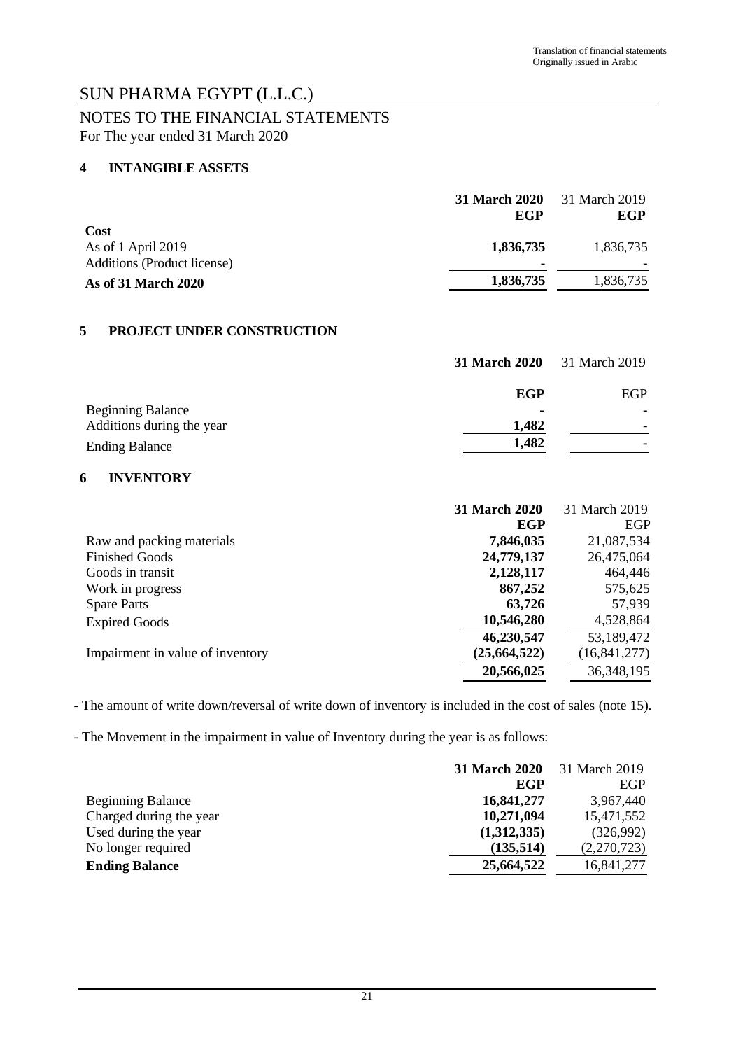### NOTES TO THE FINANCIAL STATEMENTS For The year ended 31 March 2020

#### **4 INTANGIBLE ASSETS**

|                                    | 31 March 2020            | 31 March 2019 |
|------------------------------------|--------------------------|---------------|
|                                    | EGP                      | EGP           |
| Cost                               |                          |               |
| As of 1 April 2019                 | 1,836,735                | 1,836,735     |
| <b>Additions (Product license)</b> | $\overline{\phantom{0}}$ |               |
| As of 31 March 2020                | 1,836,735                | 1,836,735     |

#### **5 PROJECT UNDER CONSTRUCTION**

|                           | <b>31 March 2020</b> | 31 March 2019 |
|---------------------------|----------------------|---------------|
|                           | EGP                  | EGP           |
| <b>Beginning Balance</b>  |                      |               |
| Additions during the year | 1,482                |               |
| <b>Ending Balance</b>     | 1,482                |               |

#### **6 INVENTORY**

|                                  | <b>31 March 2020</b> | 31 March 2019  |
|----------------------------------|----------------------|----------------|
|                                  | EGP                  | EGP            |
| Raw and packing materials        | 7,846,035            | 21,087,534     |
| <b>Finished Goods</b>            | 24,779,137           | 26,475,064     |
| Goods in transit                 | 2,128,117            | 464,446        |
| Work in progress                 | 867,252              | 575,625        |
| <b>Spare Parts</b>               | 63,726               | 57,939         |
| <b>Expired Goods</b>             | 10,546,280           | 4,528,864      |
|                                  | 46,230,547           | 53,189,472     |
| Impairment in value of inventory | (25, 664, 522)       | (16, 841, 277) |
|                                  | 20,566,025           | 36, 348, 195   |

- The amount of write down/reversal of write down of inventory is included in the cost of sales (note 15).

- The Movement in the impairment in value of Inventory during the year is as follows:

|                          | 31 March 2020 | 31 March 2019 |
|--------------------------|---------------|---------------|
|                          | EGP           | EGP           |
| <b>Beginning Balance</b> | 16,841,277    | 3,967,440     |
| Charged during the year  | 10,271,094    | 15,471,552    |
| Used during the year     | (1,312,335)   | (326,992)     |
| No longer required       | (135,514)     | (2,270,723)   |
| <b>Ending Balance</b>    | 25,664,522    | 16,841,277    |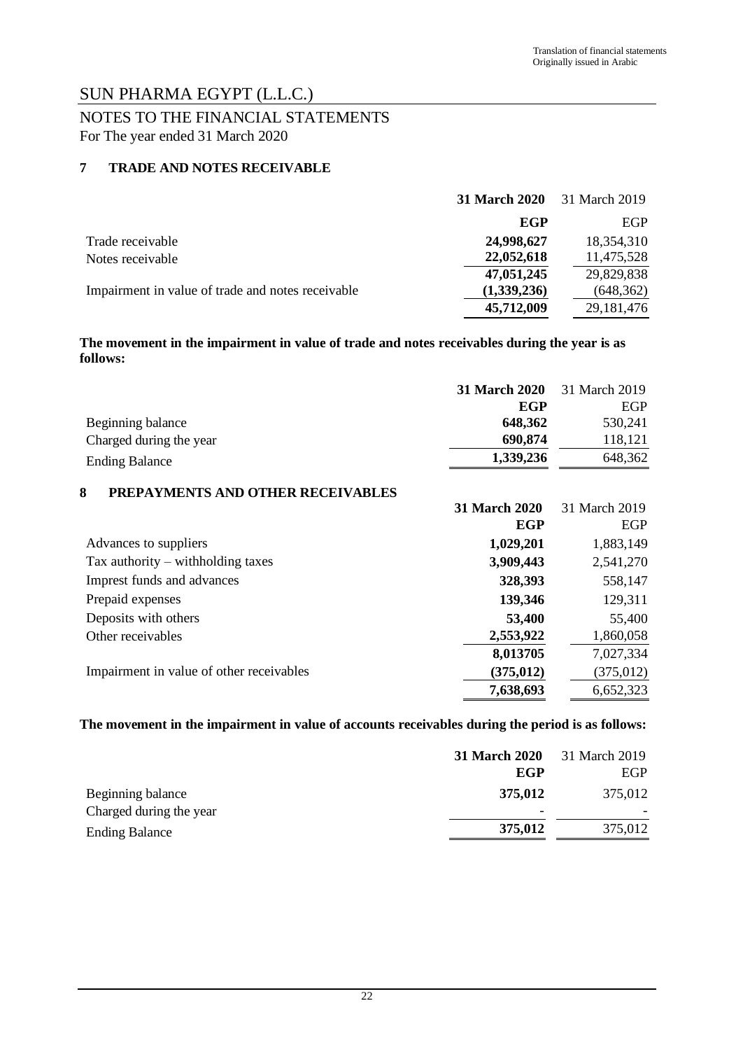### NOTES TO THE FINANCIAL STATEMENTS For The year ended 31 March 2020

#### **7 TRADE AND NOTES RECEIVABLE**

|                                                   | <b>31 March 2020</b> | 31 March 2019 |
|---------------------------------------------------|----------------------|---------------|
|                                                   | EGP                  | EGP           |
| Trade receivable                                  | 24,998,627           | 18,354,310    |
| Notes receivable                                  | 22,052,618           | 11,475,528    |
|                                                   | 47,051,245           | 29,829,838    |
| Impairment in value of trade and notes receivable | (1,339,236)          | (648, 362)    |
|                                                   | 45,712,009           | 29, 181, 476  |

#### **The movement in the impairment in value of trade and notes receivables during the year is as follows:**

|                                          | <b>31 March 2020</b><br>EGP | 31 March 2019<br><b>EGP</b> |
|------------------------------------------|-----------------------------|-----------------------------|
| Beginning balance                        | 648,362                     | 530,241                     |
| Charged during the year                  | 690,874                     | 118,121                     |
| <b>Ending Balance</b>                    | 1,339,236                   | 648,362                     |
| 8<br>PREPAYMENTS AND OTHER RECEIVABLES   |                             |                             |
|                                          | <b>31 March 2020</b>        | 31 March 2019               |
|                                          | EGP                         | EGP                         |
| Advances to suppliers                    | 1,029,201                   | 1,883,149                   |
| Tax authority $-$ withholding taxes      | 3,909,443                   | 2,541,270                   |
| Imprest funds and advances               | 328,393                     | 558,147                     |
| Prepaid expenses                         | 139,346                     | 129,311                     |
| Deposits with others                     | 53,400                      | 55,400                      |
| Other receivables                        | 2,553,922                   | 1,860,058                   |
|                                          | 8,013705                    | 7,027,334                   |
| Impairment in value of other receivables | (375, 012)                  | (375, 012)                  |
|                                          | 7,638,693                   | 6,652,323                   |
|                                          |                             |                             |

#### **The movement in the impairment in value of accounts receivables during the period is as follows:**

|                         | <b>31 March 2020</b>     | 31 March 2019 |
|-------------------------|--------------------------|---------------|
|                         | EGP                      | EGP           |
| Beginning balance       | 375,012                  | 375,012       |
| Charged during the year | $\overline{\phantom{0}}$ |               |
| <b>Ending Balance</b>   | 375,012                  | 375,012       |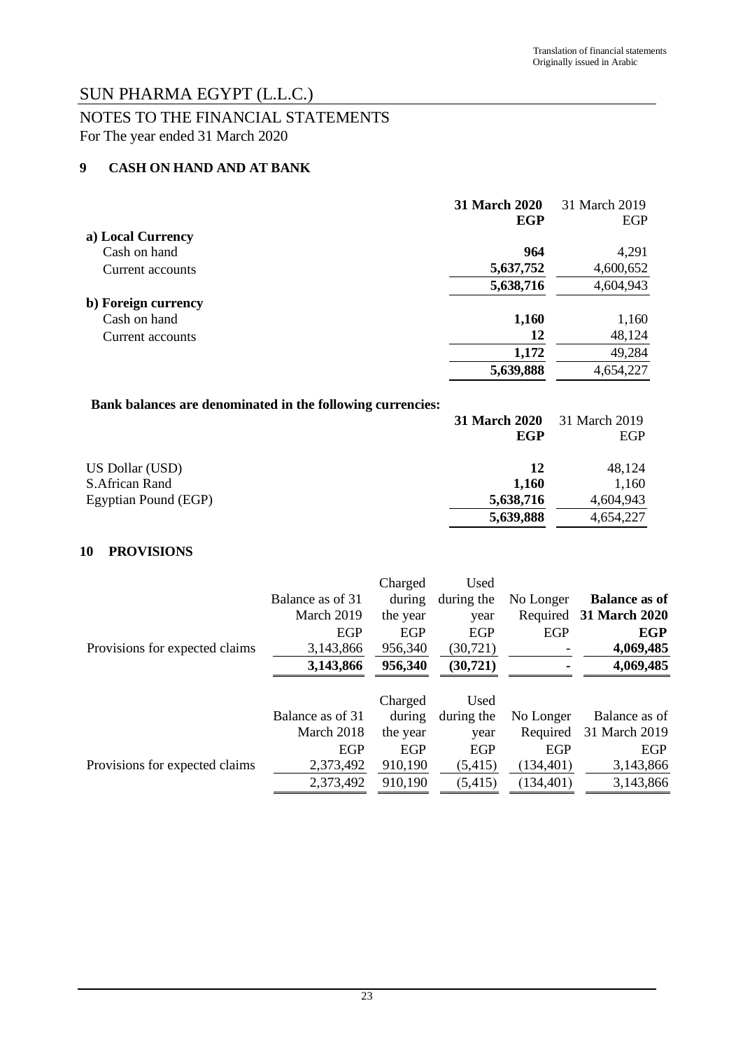### NOTES TO THE FINANCIAL STATEMENTS For The year ended 31 March 2020

### **9 CASH ON HAND AND AT BANK**

|                     | <b>31 March 2020</b> | 31 March 2019 |
|---------------------|----------------------|---------------|
|                     | EGP                  | EGP           |
| a) Local Currency   |                      |               |
| Cash on hand        | 964                  | 4,291         |
| Current accounts    | 5,637,752            | 4,600,652     |
|                     | 5,638,716            | 4,604,943     |
| b) Foreign currency |                      |               |
| Cash on hand        | 1,160                | 1,160         |
| Current accounts    | 12                   | 48,124        |
|                     | 1,172                | 49,284        |
|                     | 5,639,888            | 4,654,227     |

### **Bank balances are denominated in the following currencies:**

|                      | <b>31 March 2020</b> | 31 March 2019 |
|----------------------|----------------------|---------------|
|                      | EGP                  | <b>EGP</b>    |
| US Dollar (USD)      | 12                   | 48,124        |
| S. African Rand      | 1.160                | 1,160         |
| Egyptian Pound (EGP) | 5,638,716            | 4,604,943     |
|                      | 5,639,888            | 4,654,227     |

#### **10 PROVISIONS**

|                                |                  | Charged  | Used       |            |                      |
|--------------------------------|------------------|----------|------------|------------|----------------------|
|                                | Balance as of 31 | during   | during the | No Longer  | <b>Balance as of</b> |
|                                | March 2019       | the year | year       | Required   | 31 March 2020        |
|                                | EGP              | EGP      | EGP        | EGP        | EGP                  |
| Provisions for expected claims | 3,143,866        | 956,340  | (30, 721)  |            | 4,069,485            |
|                                | 3,143,866        | 956,340  | (30, 721)  |            | 4,069,485            |
|                                |                  |          |            |            |                      |
|                                |                  | Charged  | Used       |            |                      |
|                                | Balance as of 31 | during   | during the | No Longer  | Balance as of        |
|                                | March 2018       | the year | year       | Required   | 31 March 2019        |
|                                | <b>EGP</b>       | EGP      | EGP        | EGP        | <b>EGP</b>           |
| Provisions for expected claims | 2,373,492        | 910,190  | (5, 415)   | (134, 401) | 3,143,866            |
|                                | 2,373,492        | 910,190  | (5, 415)   | (134, 401) | 3,143,866            |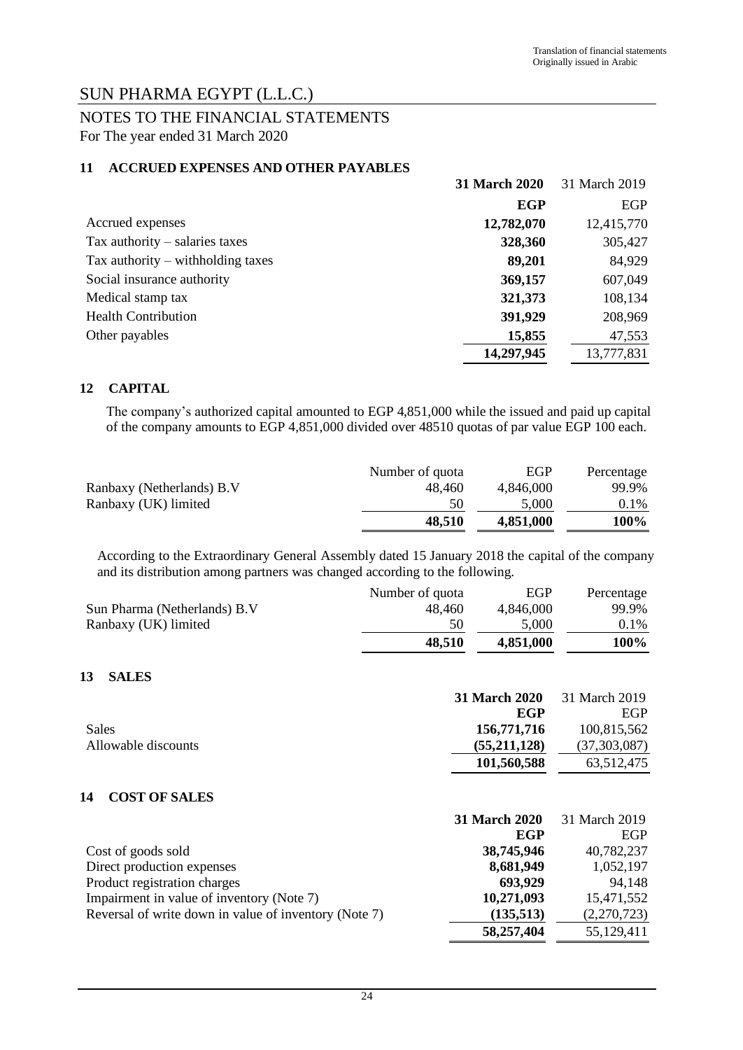### NOTES TO THE FINANCIAL STATEMENTS For The year ended 31 March 2020

#### **11 ACCRUED EXPENSES AND OTHER PAYABLES**

|                                     | 31 March 2020 | 31 March 2019 |
|-------------------------------------|---------------|---------------|
|                                     | <b>EGP</b>    | <b>EGP</b>    |
| Accrued expenses                    | 12,782,070    | 12,415,770    |
| Tax authority $-$ salaries taxes    | 328,360       | 305,427       |
| Tax authority $-$ withholding taxes | 89,201        | 84,929        |
| Social insurance authority          | 369,157       | 607,049       |
| Medical stamp tax                   | 321,373       | 108,134       |
| <b>Health Contribution</b>          | 391,929       | 208,969       |
| Other payables                      | 15,855        | 47,553        |
|                                     | 14,297,945    | 13,777,831    |

#### **12 CAPITAL**

The company's authorized capital amounted to EGP 4,851,000 while the issued and paid up capital of the company amounts to EGP 4,851,000 divided over 48510 quotas of par value EGP 100 each.

|                           | Number of quota | EGP       | Percentage |
|---------------------------|-----------------|-----------|------------|
| Ranbaxy (Netherlands) B.V | 48.460          | 4.846.000 | 99.9%      |
| Ranbaxy (UK) limited      | 50              | 5.000     | 0.1%       |
|                           | 48,510          | 4,851,000 | 100%       |

According to the Extraordinary General Assembly dated 15 January 2018 the capital of the company and its distribution among partners was changed according to the following.

|                              | Number of quota | EGP       | Percentage |
|------------------------------|-----------------|-----------|------------|
| Sun Pharma (Netherlands) B.V | 48.460          | 4.846.000 | 99.9%      |
| Ranbaxy (UK) limited         | 50              | 5.000     | $0.1\%$    |
|                              | 48.510          | 4.851.000 | 100%       |

#### **13 SALES**

|                     | 31 March 2020 | 31 March 2019 |
|---------------------|---------------|---------------|
|                     | EGP           | EGP           |
| Sales               | 156,771,716   | 100,815,562   |
| Allowable discounts | (55,211,128)  | (37,303,087)  |
|                     | 101,560,588   | 63,512,475    |

#### **14 COST OF SALES**

|                                                       | 31 March 2020 | 31 March 2019 |
|-------------------------------------------------------|---------------|---------------|
|                                                       | EGP           | EGP           |
| Cost of goods sold                                    | 38,745,946    | 40,782,237    |
| Direct production expenses                            | 8,681,949     | 1,052,197     |
| Product registration charges                          | 693,929       | 94,148        |
| Impairment in value of inventory (Note 7)             | 10,271,093    | 15,471,552    |
| Reversal of write down in value of inventory (Note 7) | (135,513)     | (2,270,723)   |
|                                                       | 58,257,404    | 55,129,411    |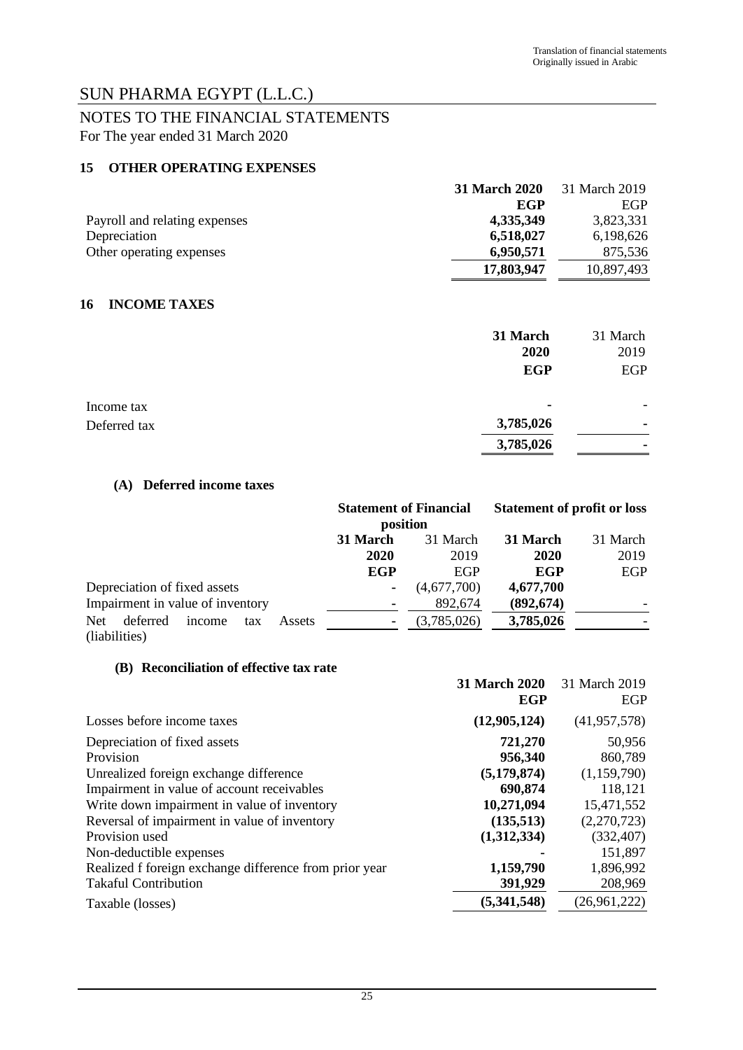### NOTES TO THE FINANCIAL STATEMENTS For The year ended 31 March 2020

#### **15 OTHER OPERATING EXPENSES**

|                               | 31 March 2020 | 31 March 2019 |
|-------------------------------|---------------|---------------|
|                               | EGP           | <b>EGP</b>    |
| Payroll and relating expenses | 4,335,349     | 3,823,331     |
| Depreciation                  | 6,518,027     | 6,198,626     |
| Other operating expenses      | 6,950,571     | 875.536       |
|                               | 17,803,947    | 10,897,493    |

#### **16 INCOME TAXES**

|              | 31 March<br>2020         | 31 March<br>2019 |
|--------------|--------------------------|------------------|
|              | <b>EGP</b>               | <b>EGP</b>       |
| Income tax   | $\overline{\phantom{a}}$ | ۰                |
| Deferred tax | 3,785,026                | ۰                |
|              | 3,785,026                | ۰                |

#### **(A) Deferred income taxes**

|                                                   |            | <b>Statement of Financial</b><br>position |            | <b>Statement of profit or loss</b> |
|---------------------------------------------------|------------|-------------------------------------------|------------|------------------------------------|
|                                                   | 31 March   | 31 March                                  | 31 March   | 31 March                           |
|                                                   | 2020       | 2019                                      | 2020       | 2019                               |
|                                                   | <b>EGP</b> | <b>EGP</b>                                | EGP        | EGP                                |
| Depreciation of fixed assets                      | $\sim$     | (4,677,700)                               | 4,677,700  |                                    |
| Impairment in value of inventory                  |            | 892,674                                   | (892, 674) |                                    |
| <b>Net</b><br>deferred<br>income<br>Assets<br>tax |            | (3,785,026)                               | 3,785,026  |                                    |
| (liabilities)                                     |            |                                           |            |                                    |

#### **(B) Reconciliation of effective tax rate**

|                                                        | 31 March 2020<br>EGP | 31 March 2019<br>EGP |
|--------------------------------------------------------|----------------------|----------------------|
| Losses before income taxes                             | (12,905,124)         | (41, 957, 578)       |
| Depreciation of fixed assets                           | 721,270              | 50,956               |
| Provision                                              | 956,340              | 860,789              |
| Unrealized foreign exchange difference                 | (5, 179, 874)        | (1,159,790)          |
| Impairment in value of account receivables             | 690,874              | 118,121              |
| Write down impairment in value of inventory            | 10,271,094           | 15,471,552           |
| Reversal of impairment in value of inventory           | (135,513)            | (2,270,723)          |
| Provision used                                         | (1,312,334)          | (332, 407)           |
| Non-deductible expenses                                |                      | 151,897              |
| Realized f foreign exchange difference from prior year | 1,159,790            | 1,896,992            |
| <b>Takaful Contribution</b>                            | 391,929              | 208,969              |
| Taxable (losses)                                       | (5,341,548)          | (26,961,222)         |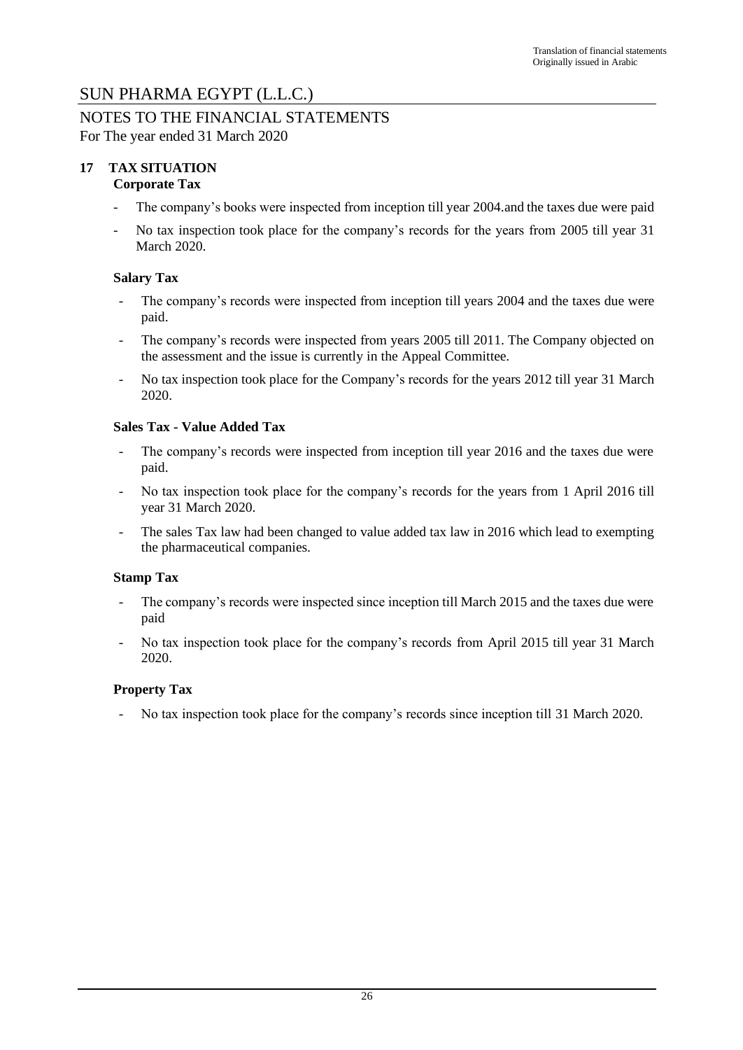#### NOTES TO THE FINANCIAL STATEMENTS For The year ended 31 March 2020

#### **17 TAX SITUATION Corporate Tax**

- The company's books were inspected from inception till year 2004.and the taxes due were paid
- No tax inspection took place for the company's records for the years from 2005 till year 31 March 2020.

### **Salary Tax**

- The company's records were inspected from inception till years 2004 and the taxes due were paid.
- The company's records were inspected from years 2005 till 2011. The Company objected on the assessment and the issue is currently in the Appeal Committee.
- No tax inspection took place for the Company's records for the years 2012 till year 31 March 2020.

#### **Sales Tax - Value Added Tax**

- The company's records were inspected from inception till year 2016 and the taxes due were paid.
- No tax inspection took place for the company's records for the years from 1 April 2016 till year 31 March 2020.
- The sales Tax law had been changed to value added tax law in 2016 which lead to exempting the pharmaceutical companies.

#### **Stamp Tax**

- The company's records were inspected since inception till March 2015 and the taxes due were paid
- No tax inspection took place for the company's records from April 2015 till year 31 March 2020.

#### **Property Tax**

- No tax inspection took place for the company's records since inception till 31 March 2020.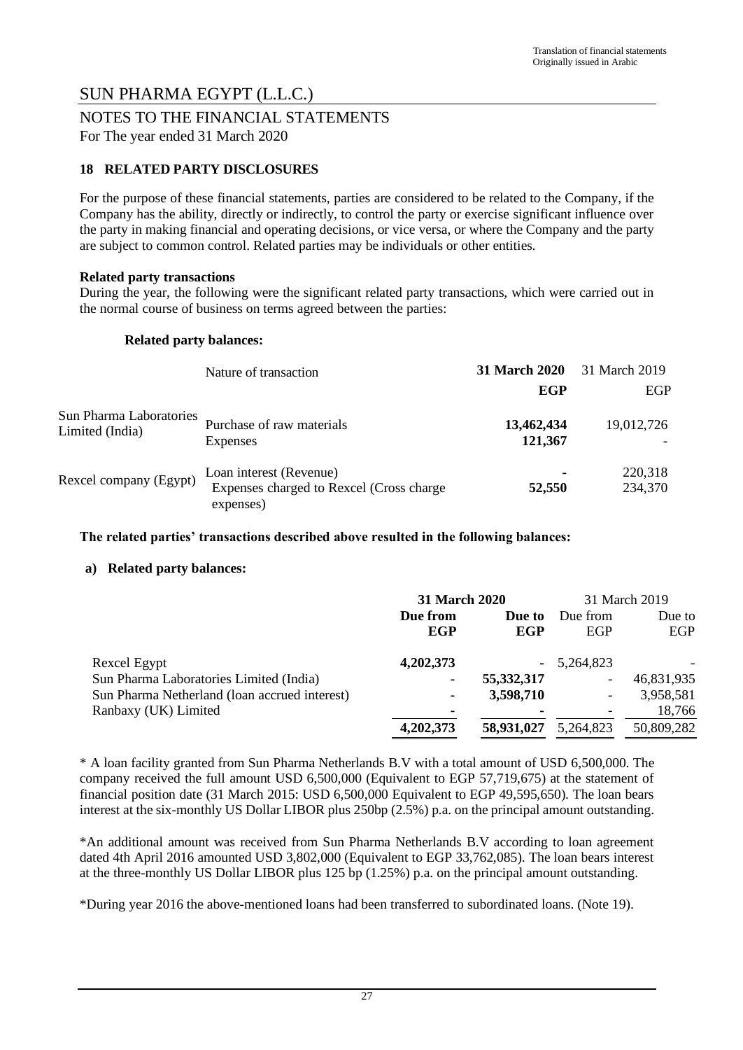#### NOTES TO THE FINANCIAL STATEMENTS For The year ended 31 March 2020

### **18 RELATED PARTY DISCLOSURES**

For the purpose of these financial statements, parties are considered to be related to the Company, if the Company has the ability, directly or indirectly, to control the party or exercise significant influence over the party in making financial and operating decisions, or vice versa, or where the Company and the party are subject to common control. Related parties may be individuals or other entities.

#### **Related party transactions**

During the year, the following were the significant related party transactions, which were carried out in the normal course of business on terms agreed between the parties:

#### **Related party balances:**

|                                            | Nature of transaction                                                            | <b>31 March 2020</b>  | 31 March 2019      |
|--------------------------------------------|----------------------------------------------------------------------------------|-----------------------|--------------------|
|                                            |                                                                                  | EGP                   | EGP                |
| Sun Pharma Laboratories<br>Limited (India) | Purchase of raw materials<br>Expenses                                            | 13,462,434<br>121,367 | 19,012,726         |
| Rexcel company (Egypt)                     | Loan interest (Revenue)<br>Expenses charged to Rexcel (Cross charge<br>expenses) | ٠<br>52,550           | 220,318<br>234,370 |

#### **The related parties' transactions described above resulted in the following balances:**

#### **a) Related party balances:**

|                                               | 31 March 2020 |                | 31 March 2019 |            |
|-----------------------------------------------|---------------|----------------|---------------|------------|
|                                               | Due from      | Due to         | Due from      | Due to     |
|                                               | EGP           | EGP            | EGP           | EGP        |
| Rexcel Egypt                                  | 4,202,373     | ۰              | 5,264,823     |            |
| Sun Pharma Laboratories Limited (India)       | ۰             | 55,332,317     | -             | 46,831,935 |
| Sun Pharma Netherland (loan accrued interest) | ۰             | 3,598,710      |               | 3,958,581  |
| Ranbaxy (UK) Limited                          | ۰             | $\blacksquare$ |               | 18,766     |
|                                               | 4,202,373     | 58,931,027     | 5,264,823     | 50,809,282 |

\* A loan facility granted from Sun Pharma Netherlands B.V with a total amount of USD 6,500,000. The company received the full amount USD 6,500,000 (Equivalent to EGP 57,719,675) at the statement of financial position date (31 March 2015: USD 6,500,000 Equivalent to EGP 49,595,650). The loan bears interest at the six-monthly US Dollar LIBOR plus 250bp (2.5%) p.a. on the principal amount outstanding.

\*An additional amount was received from Sun Pharma Netherlands B.V according to loan agreement dated 4th April 2016 amounted USD 3,802,000 (Equivalent to EGP 33,762,085). The loan bears interest at the three-monthly US Dollar LIBOR plus 125 bp (1.25%) p.a. on the principal amount outstanding.

\*During year 2016 the above-mentioned loans had been transferred to subordinated loans. (Note 19).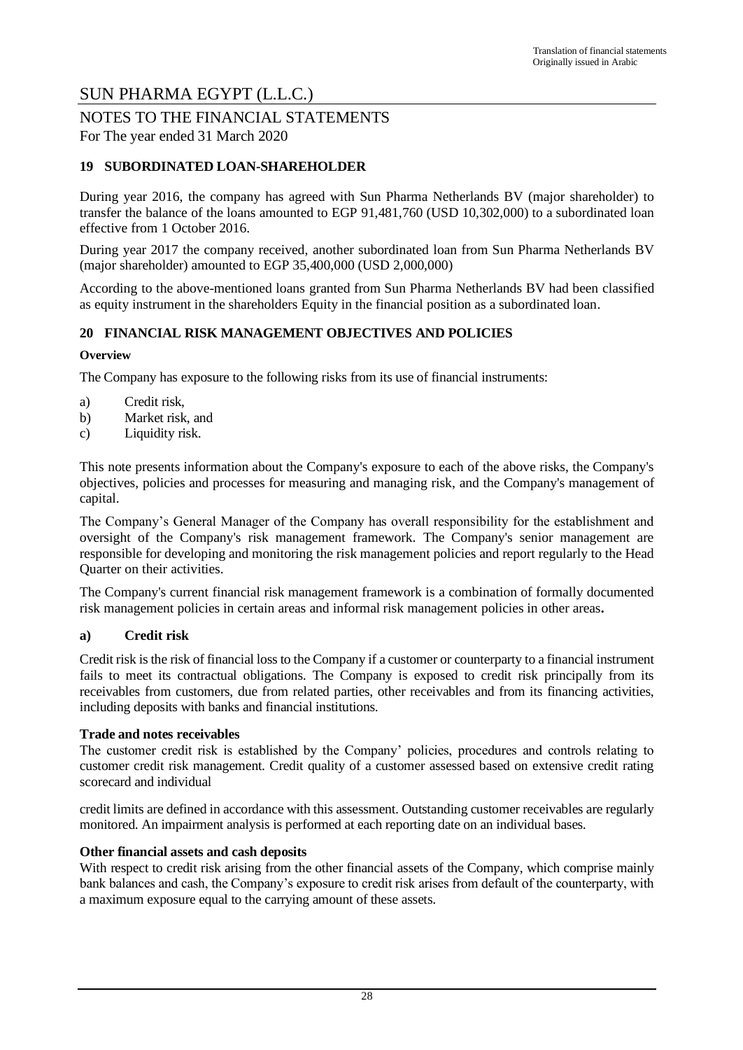#### NOTES TO THE FINANCIAL STATEMENTS For The year ended 31 March 2020

### **19 SUBORDINATED LOAN-SHAREHOLDER**

During year 2016, the company has agreed with Sun Pharma Netherlands BV (major shareholder) to transfer the balance of the loans amounted to EGP 91,481,760 (USD 10,302,000) to a subordinated loan effective from 1 October 2016.

During year 2017 the company received, another subordinated loan from Sun Pharma Netherlands BV (major shareholder) amounted to EGP 35,400,000 (USD 2,000,000)

According to the above-mentioned loans granted from Sun Pharma Netherlands BV had been classified as equity instrument in the shareholders Equity in the financial position as a subordinated loan.

#### **20 FINANCIAL RISK MANAGEMENT OBJECTIVES AND POLICIES**

#### **Overview**

The Company has exposure to the following risks from its use of financial instruments:

- a) Credit risk,
- b) Market risk, and
- c) Liquidity risk.

This note presents information about the Company's exposure to each of the above risks, the Company's objectives, policies and processes for measuring and managing risk, and the Company's management of capital.

The Company's General Manager of the Company has overall responsibility for the establishment and oversight of the Company's risk management framework. The Company's senior management are responsible for developing and monitoring the risk management policies and report regularly to the Head Quarter on their activities.

The Company's current financial risk management framework is a combination of formally documented risk management policies in certain areas and informal risk management policies in other areas**.**

#### **a) Credit risk**

Credit risk is the risk of financial loss to the Company if a customer or counterparty to a financial instrument fails to meet its contractual obligations. The Company is exposed to credit risk principally from its receivables from customers, due from related parties, other receivables and from its financing activities, including deposits with banks and financial institutions.

#### **Trade and notes receivables**

The customer credit risk is established by the Company' policies, procedures and controls relating to customer credit risk management. Credit quality of a customer assessed based on extensive credit rating scorecard and individual

credit limits are defined in accordance with this assessment. Outstanding customer receivables are regularly monitored. An impairment analysis is performed at each reporting date on an individual bases.

#### **Other financial assets and cash deposits**

With respect to credit risk arising from the other financial assets of the Company, which comprise mainly bank balances and cash, the Company's exposure to credit risk arises from default of the counterparty, with a maximum exposure equal to the carrying amount of these assets.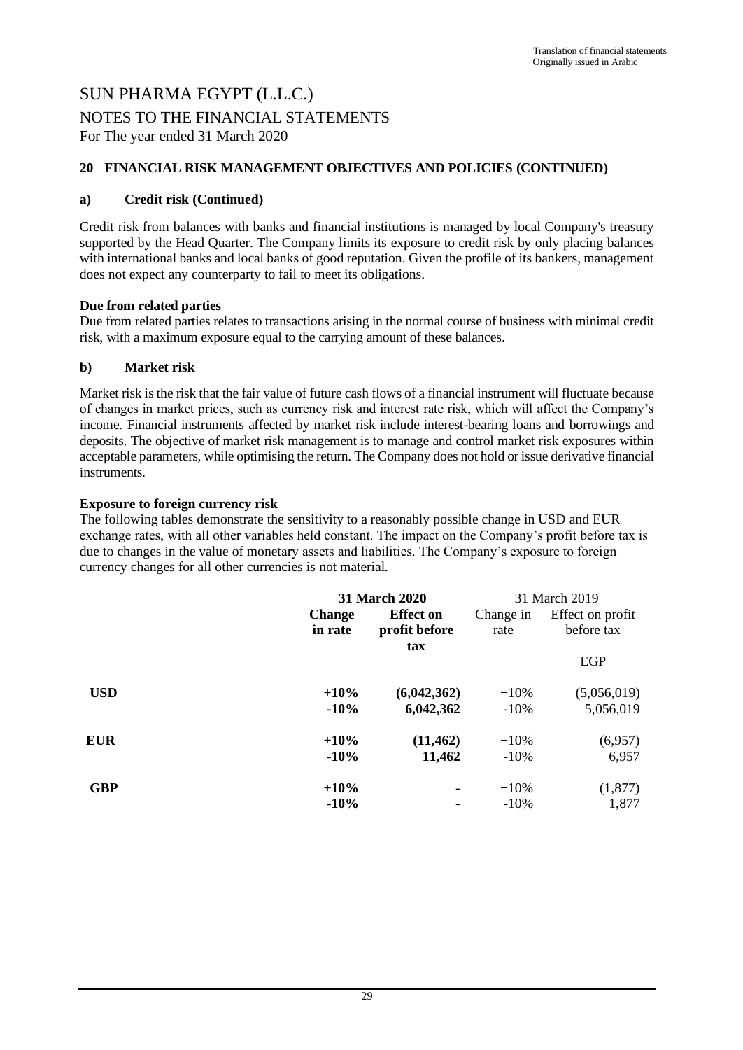NOTES TO THE FINANCIAL STATEMENTS For The year ended 31 March 2020

#### **20 FINANCIAL RISK MANAGEMENT OBJECTIVES AND POLICIES (CONTINUED)**

#### **a) Credit risk (Continued)**

Credit risk from balances with banks and financial institutions is managed by local Company's treasury supported by the Head Quarter. The Company limits its exposure to credit risk by only placing balances with international banks and local banks of good reputation. Given the profile of its bankers, management does not expect any counterparty to fail to meet its obligations.

#### **Due from related parties**

Due from related parties relates to transactions arising in the normal course of business with minimal credit risk, with a maximum exposure equal to the carrying amount of these balances.

#### **b) Market risk**

Market risk is the risk that the fair value of future cash flows of a financial instrument will fluctuate because of changes in market prices, such as currency risk and interest rate risk, which will affect the Company's income. Financial instruments affected by market risk include interest-bearing loans and borrowings and deposits. The objective of market risk management is to manage and control market risk exposures within acceptable parameters, while optimising the return. The Company does not hold or issue derivative financial instruments.

#### **Exposure to foreign currency risk**

The following tables demonstrate the sensitivity to a reasonably possible change in USD and EUR exchange rates, with all other variables held constant. The impact on the Company's profit before tax is due to changes in the value of monetary assets and liabilities. The Company's exposure to foreign currency changes for all other currencies is not material.

|            | <b>31 March 2020</b>                                          |             |                   |                                | 31 March 2019 |
|------------|---------------------------------------------------------------|-------------|-------------------|--------------------------------|---------------|
|            | <b>Effect on</b><br><b>Change</b><br>in rate<br>profit before |             | Change in<br>rate | Effect on profit<br>before tax |               |
|            |                                                               | tax         |                   | <b>EGP</b>                     |               |
| <b>USD</b> | $+10%$                                                        | (6,042,362) | $+10%$            | (5,056,019)                    |               |
|            | $-10%$                                                        | 6,042,362   | $-10%$            | 5,056,019                      |               |
| <b>EUR</b> | $+10%$                                                        | (11, 462)   | $+10%$            | (6,957)                        |               |
|            | $-10%$                                                        | 11,462      | $-10\%$           | 6,957                          |               |
| <b>GBP</b> | $+10%$                                                        |             | $+10%$            | (1, 877)                       |               |
|            | $-10%$                                                        |             | $-10%$            | 1,877                          |               |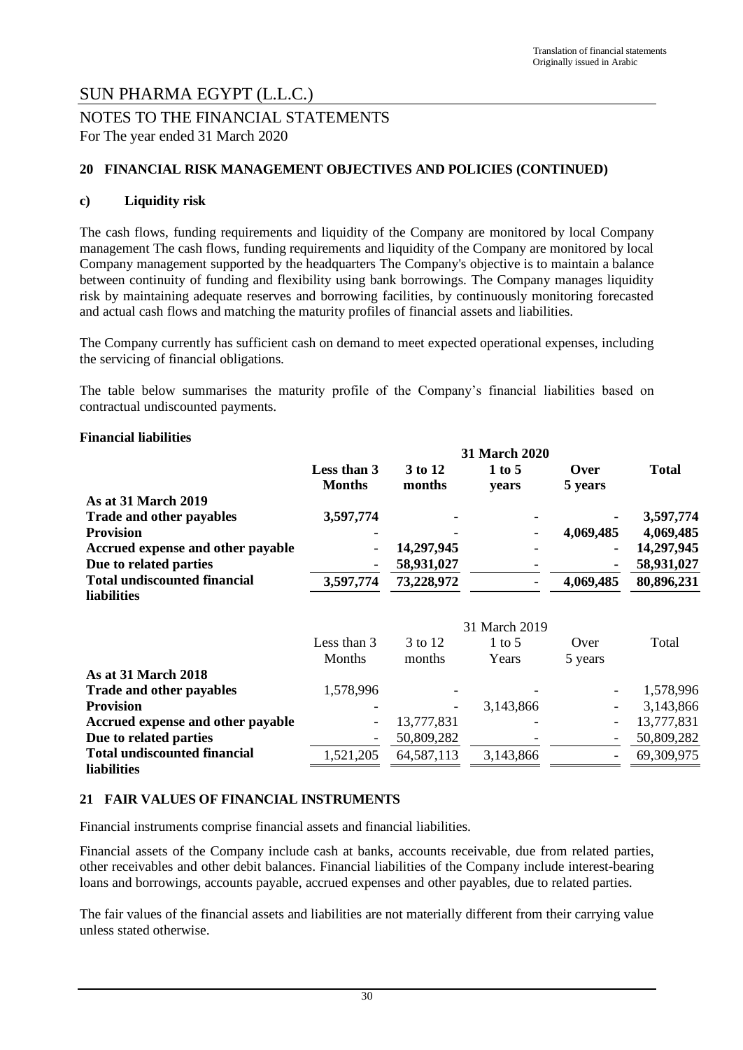### NOTES TO THE FINANCIAL STATEMENTS For The year ended 31 March 2020

#### **20 FINANCIAL RISK MANAGEMENT OBJECTIVES AND POLICIES (CONTINUED)**

#### **c) Liquidity risk**

The cash flows, funding requirements and liquidity of the Company are monitored by local Company management The cash flows, funding requirements and liquidity of the Company are monitored by local Company management supported by the headquarters The Company's objective is to maintain a balance between continuity of funding and flexibility using bank borrowings. The Company manages liquidity risk by maintaining adequate reserves and borrowing facilities, by continuously monitoring forecasted and actual cash flows and matching the maturity profiles of financial assets and liabilities.

The Company currently has sufficient cash on demand to meet expected operational expenses, including the servicing of financial obligations.

The table below summarises the maturity profile of the Company's financial liabilities based on contractual undiscounted payments.

#### **Financial liabilities**

|                                     | 31 March 2020                |                   |                   |                          |              |
|-------------------------------------|------------------------------|-------------------|-------------------|--------------------------|--------------|
|                                     | Less than 3<br><b>Months</b> | 3 to 12<br>months | $1$ to 5<br>years | Over<br>5 years          | <b>Total</b> |
| As at 31 March 2019                 |                              |                   |                   |                          |              |
| <b>Trade and other payables</b>     | 3,597,774                    |                   |                   |                          | 3,597,774    |
| <b>Provision</b>                    |                              |                   |                   | 4,069,485                | 4,069,485    |
| Accrued expense and other payable   |                              | 14,297,945        |                   |                          | 14,297,945   |
| Due to related parties              |                              | 58,931,027        |                   |                          | 58,931,027   |
| <b>Total undiscounted financial</b> | 3,597,774                    | 73,228,972        |                   | 4,069,485                | 80,896,231   |
| <b>liabilities</b>                  |                              |                   |                   |                          |              |
|                                     |                              |                   | 31 March 2019     |                          |              |
|                                     | Less than 3                  | 3 to 12           | $1$ to 5          | Over                     | Total        |
|                                     | Months                       | months            | Years             | 5 years                  |              |
| <b>As at 31 March 2018</b>          |                              |                   |                   |                          |              |
| Trade and other payables            | 1,578,996                    |                   |                   |                          | 1,578,996    |
| <b>Provision</b>                    |                              |                   | 3,143,866         |                          | 3,143,866    |
| Accrued expense and other payable   | $\overline{\phantom{a}}$     | 13,777,831        |                   | -                        | 13,777,831   |
| Due to related parties              |                              | 50,809,282        |                   | $\overline{\phantom{a}}$ | 50,809,282   |
| <b>Total undiscounted financial</b> | 1,521,205                    | 64, 587, 113      | 3,143,866         |                          | 69,309,975   |
| <b>liabilities</b>                  |                              |                   |                   |                          |              |

#### **21 FAIR VALUES OF FINANCIAL INSTRUMENTS**

Financial instruments comprise financial assets and financial liabilities.

Financial assets of the Company include cash at banks, accounts receivable, due from related parties, other receivables and other debit balances. Financial liabilities of the Company include interest-bearing loans and borrowings, accounts payable, accrued expenses and other payables, due to related parties.

The fair values of the financial assets and liabilities are not materially different from their carrying value unless stated otherwise.